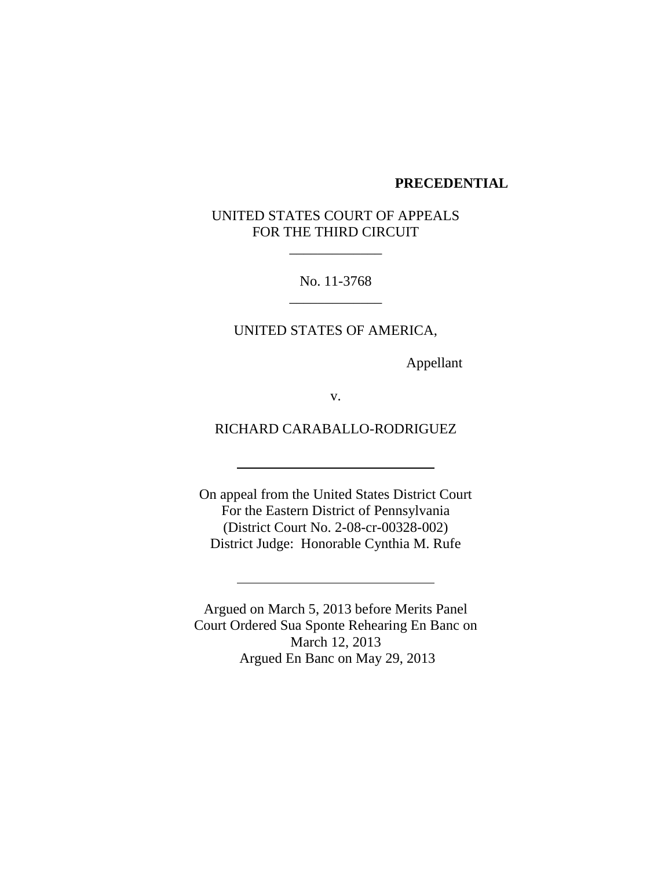#### **PRECEDENTIAL**

# UNITED STATES COURT OF APPEALS FOR THE THIRD CIRCUIT

\_\_\_\_\_\_\_\_\_\_\_\_\_

No. 11-3768 \_\_\_\_\_\_\_\_\_\_\_\_\_

UNITED STATES OF AMERICA,

Appellant

v.

RICHARD CARABALLO-RODRIGUEZ

On appeal from the United States District Court For the Eastern District of Pennsylvania (District Court No. 2-08-cr-00328-002) District Judge: Honorable Cynthia M. Rufe

Argued on March 5, 2013 before Merits Panel Court Ordered Sua Sponte Rehearing En Banc on March 12, 2013 Argued En Banc on May 29, 2013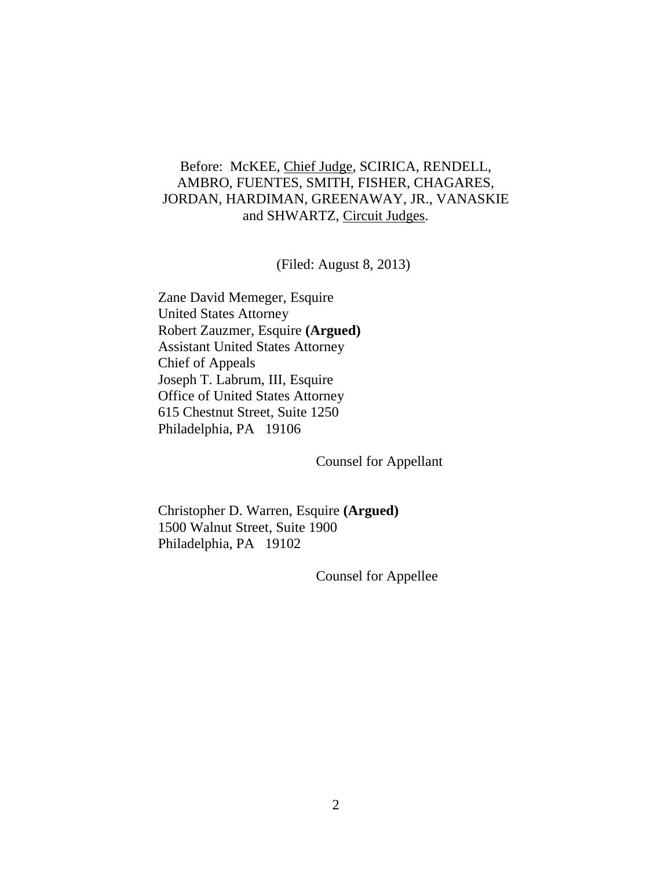# Before: McKEE, Chief Judge, SCIRICA, RENDELL, AMBRO, FUENTES, SMITH, FISHER, CHAGARES, JORDAN, HARDIMAN, GREENAWAY, JR., VANASKIE and SHWARTZ, Circuit Judges.

(Filed: August 8, 2013)

Zane David Memeger, Esquire United States Attorney Robert Zauzmer, Esquire **(Argued)** Assistant United States Attorney Chief of Appeals Joseph T. Labrum, III, Esquire Office of United States Attorney 615 Chestnut Street, Suite 1250 Philadelphia, PA 19106

Counsel for Appellant

Christopher D. Warren, Esquire **(Argued)** 1500 Walnut Street, Suite 1900 Philadelphia, PA 19102

Counsel for Appellee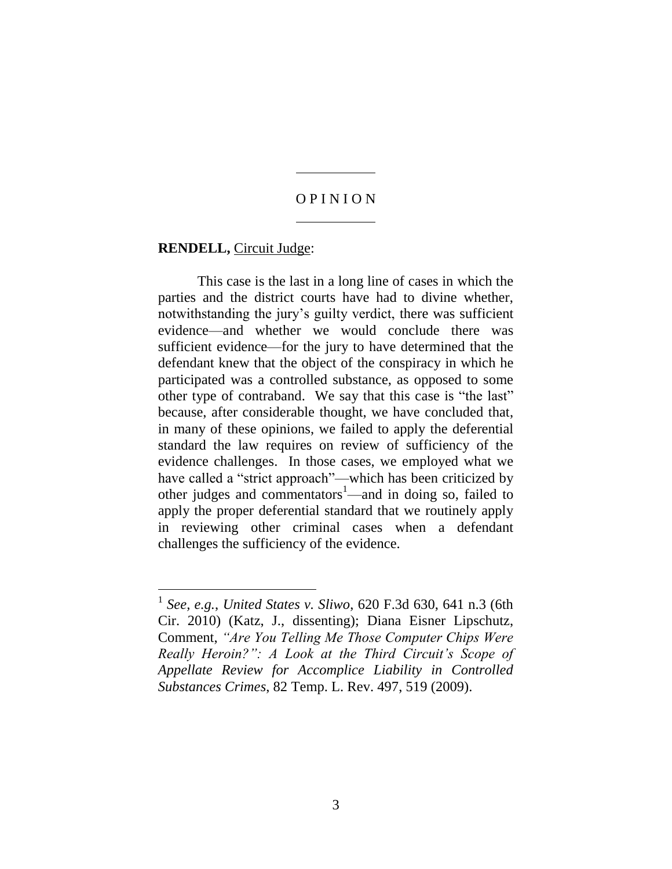## O P I N I O N

#### **RENDELL,** Circuit Judge:

This case is the last in a long line of cases in which the parties and the district courts have had to divine whether, notwithstanding the jury's guilty verdict, there was sufficient evidence—and whether we would conclude there was sufficient evidence—for the jury to have determined that the defendant knew that the object of the conspiracy in which he participated was a controlled substance, as opposed to some other type of contraband. We say that this case is "the last" because, after considerable thought, we have concluded that, in many of these opinions, we failed to apply the deferential standard the law requires on review of sufficiency of the evidence challenges. In those cases, we employed what we have called a "strict approach"—which has been criticized by other judges and commentators<sup>1</sup>—and in doing so, failed to apply the proper deferential standard that we routinely apply in reviewing other criminal cases when a defendant challenges the sufficiency of the evidence.

<sup>1</sup> *See, e.g.*, *United States v. Sliwo*, 620 F.3d 630, 641 n.3 (6th Cir. 2010) (Katz, J., dissenting); Diana Eisner Lipschutz, Comment, *"Are You Telling Me Those Computer Chips Were Really Heroin?": A Look at the Third Circuit's Scope of Appellate Review for Accomplice Liability in Controlled Substances Crimes*, 82 Temp. L. Rev. 497, 519 (2009).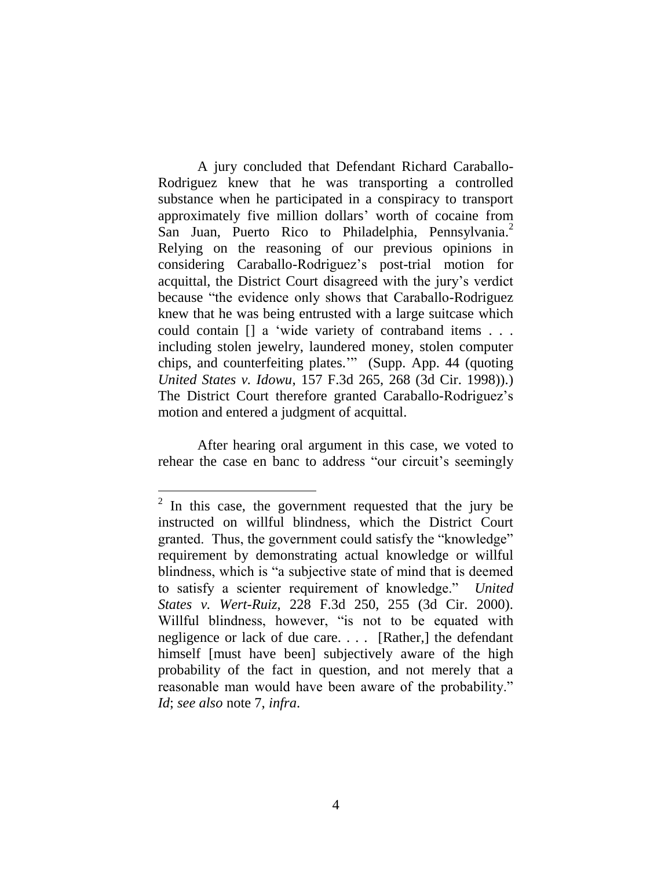A jury concluded that Defendant Richard Caraballo-Rodriguez knew that he was transporting a controlled substance when he participated in a conspiracy to transport approximately five million dollars' worth of cocaine from San Juan, Puerto Rico to Philadelphia, Pennsylvania.<sup>2</sup> Relying on the reasoning of our previous opinions in considering Caraballo-Rodriguez's post-trial motion for acquittal, the District Court disagreed with the jury's verdict because "the evidence only shows that Caraballo-Rodriguez knew that he was being entrusted with a large suitcase which could contain [] a 'wide variety of contraband items . . . including stolen jewelry, laundered money, stolen computer chips, and counterfeiting plates.'" (Supp. App. 44 (quoting *United States v. Idowu*, 157 F.3d 265, 268 (3d Cir. 1998)).) The District Court therefore granted Caraballo-Rodriguez's motion and entered a judgment of acquittal.

After hearing oral argument in this case, we voted to rehear the case en banc to address "our circuit's seemingly

 $2$  In this case, the government requested that the jury be instructed on willful blindness, which the District Court granted. Thus, the government could satisfy the "knowledge" requirement by demonstrating actual knowledge or willful blindness, which is "a subjective state of mind that is deemed to satisfy a scienter requirement of knowledge." *United States v. Wert-Ruiz*, 228 F.3d 250, 255 (3d Cir. 2000). Willful blindness, however, "is not to be equated with negligence or lack of due care. . . . [Rather,] the defendant himself [must have been] subjectively aware of the high probability of the fact in question, and not merely that a reasonable man would have been aware of the probability." *Id*; *see also* note 7, *infra*.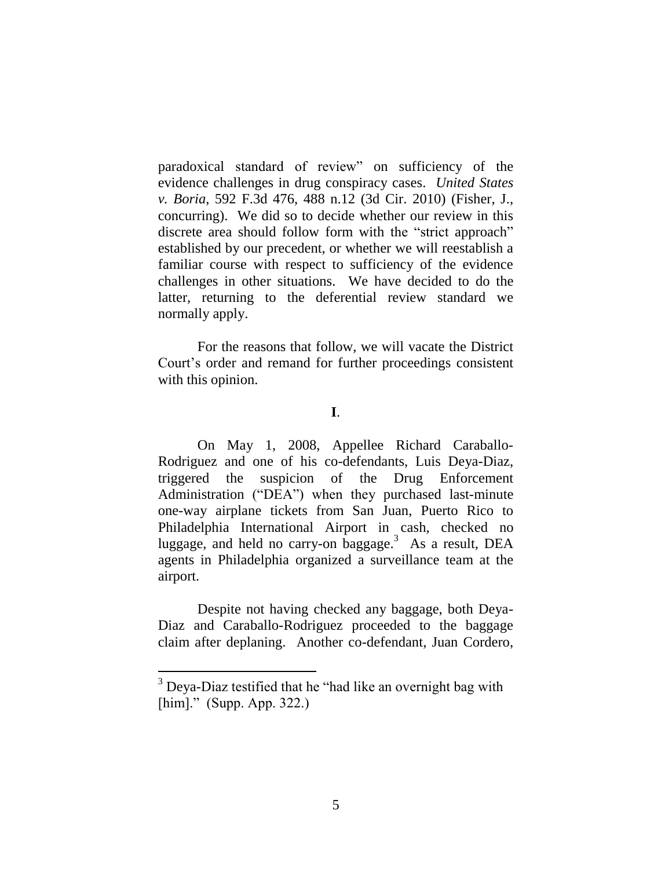paradoxical standard of review" on sufficiency of the evidence challenges in drug conspiracy cases. *United States v. Boria*, 592 F.3d 476, 488 n.12 (3d Cir. 2010) (Fisher, J., concurring). We did so to decide whether our review in this discrete area should follow form with the "strict approach" established by our precedent, or whether we will reestablish a familiar course with respect to sufficiency of the evidence challenges in other situations. We have decided to do the latter, returning to the deferential review standard we normally apply.

For the reasons that follow, we will vacate the District Court's order and remand for further proceedings consistent with this opinion.

# **I**.

On May 1, 2008, Appellee Richard Caraballo-Rodriguez and one of his co-defendants, Luis Deya-Diaz, triggered the suspicion of the Drug Enforcement Administration ("DEA") when they purchased last-minute one-way airplane tickets from San Juan, Puerto Rico to Philadelphia International Airport in cash, checked no luggage, and held no carry-on baggage.<sup>3</sup> As a result, DEA agents in Philadelphia organized a surveillance team at the airport.

Despite not having checked any baggage, both Deya-Diaz and Caraballo-Rodriguez proceeded to the baggage claim after deplaning. Another co-defendant, Juan Cordero,

 $\overline{a}$ 

 $3$  Deya-Diaz testified that he "had like an overnight bag with [him]." (Supp. App. 322.)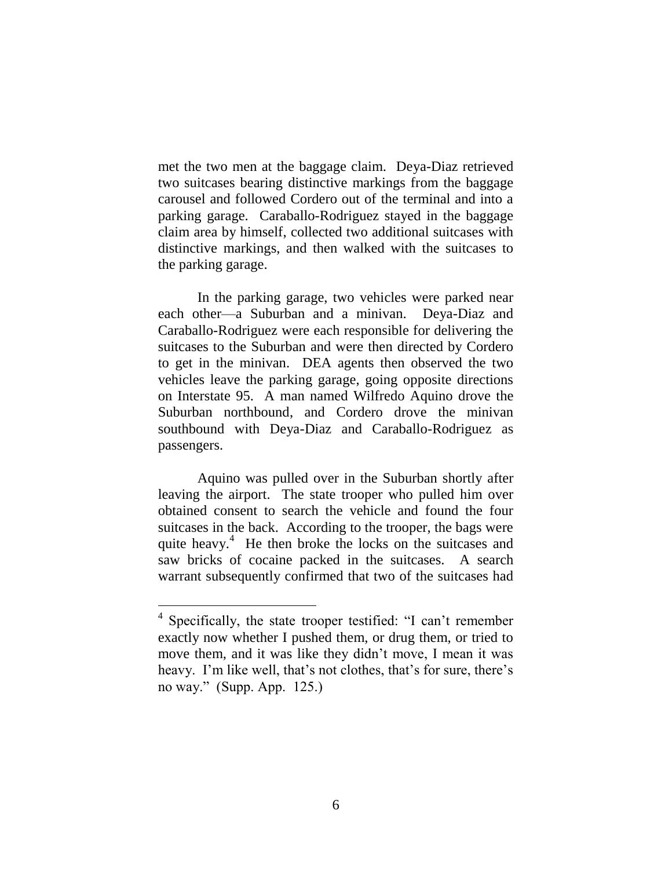met the two men at the baggage claim. Deya-Diaz retrieved two suitcases bearing distinctive markings from the baggage carousel and followed Cordero out of the terminal and into a parking garage. Caraballo-Rodriguez stayed in the baggage claim area by himself, collected two additional suitcases with distinctive markings, and then walked with the suitcases to the parking garage.

In the parking garage, two vehicles were parked near each other—a Suburban and a minivan. Deya-Diaz and Caraballo-Rodriguez were each responsible for delivering the suitcases to the Suburban and were then directed by Cordero to get in the minivan. DEA agents then observed the two vehicles leave the parking garage, going opposite directions on Interstate 95. A man named Wilfredo Aquino drove the Suburban northbound, and Cordero drove the minivan southbound with Deya-Diaz and Caraballo-Rodriguez as passengers.

Aquino was pulled over in the Suburban shortly after leaving the airport. The state trooper who pulled him over obtained consent to search the vehicle and found the four suitcases in the back. According to the trooper, the bags were quite heavy.<sup>4</sup> He then broke the locks on the suitcases and saw bricks of cocaine packed in the suitcases. A search warrant subsequently confirmed that two of the suitcases had

<sup>&</sup>lt;sup>4</sup> Specifically, the state trooper testified: "I can't remember exactly now whether I pushed them, or drug them, or tried to move them, and it was like they didn't move, I mean it was heavy. I'm like well, that's not clothes, that's for sure, there's no way." (Supp. App. 125.)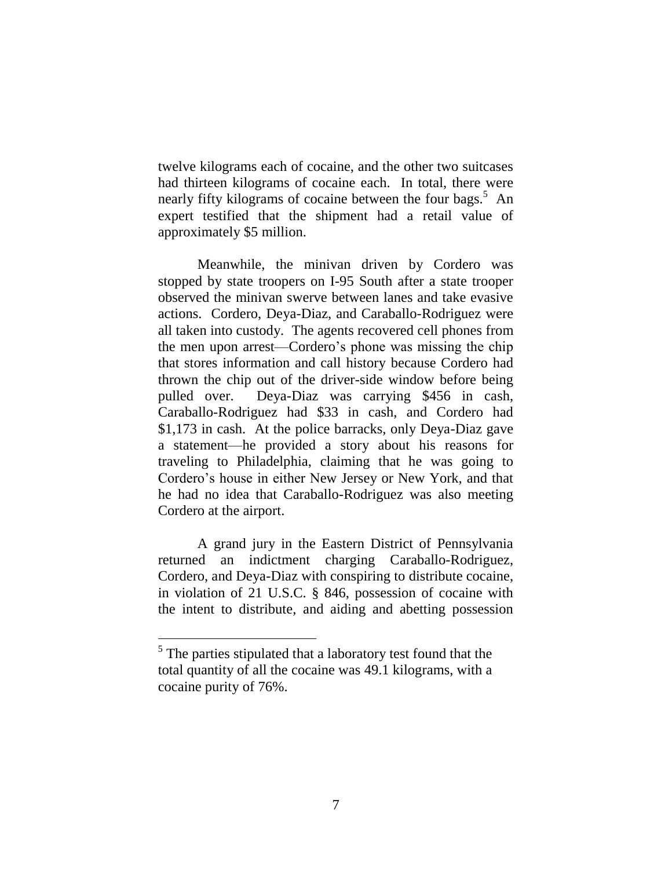twelve kilograms each of cocaine, and the other two suitcases had thirteen kilograms of cocaine each. In total, there were nearly fifty kilograms of cocaine between the four bags.<sup>5</sup> An expert testified that the shipment had a retail value of approximately \$5 million.

Meanwhile, the minivan driven by Cordero was stopped by state troopers on I-95 South after a state trooper observed the minivan swerve between lanes and take evasive actions. Cordero, Deya-Diaz, and Caraballo-Rodriguez were all taken into custody. The agents recovered cell phones from the men upon arrest—Cordero's phone was missing the chip that stores information and call history because Cordero had thrown the chip out of the driver-side window before being pulled over. Deya-Diaz was carrying \$456 in cash, Caraballo-Rodriguez had \$33 in cash, and Cordero had \$1,173 in cash. At the police barracks, only Deya-Diaz gave a statement—he provided a story about his reasons for traveling to Philadelphia, claiming that he was going to Cordero's house in either New Jersey or New York, and that he had no idea that Caraballo-Rodriguez was also meeting Cordero at the airport.

A grand jury in the Eastern District of Pennsylvania returned an indictment charging Caraballo-Rodriguez, Cordero, and Deya-Diaz with conspiring to distribute cocaine, in violation of 21 U.S.C. § 846, possession of cocaine with the intent to distribute, and aiding and abetting possession

 $\overline{a}$ 

 $<sup>5</sup>$  The parties stipulated that a laboratory test found that the</sup> total quantity of all the cocaine was 49.1 kilograms, with a cocaine purity of 76%.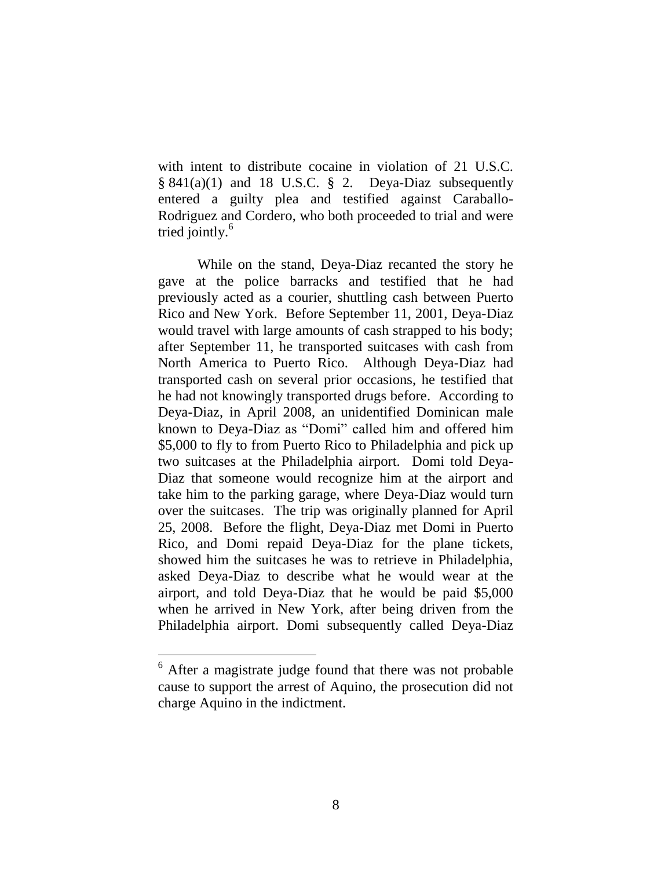with intent to distribute cocaine in violation of 21 U.S.C.  $§ 841(a)(1)$  and 18 U.S.C. § 2. Deya-Diaz subsequently entered a guilty plea and testified against Caraballo-Rodriguez and Cordero, who both proceeded to trial and were tried jointly. 6

While on the stand, Deya-Diaz recanted the story he gave at the police barracks and testified that he had previously acted as a courier, shuttling cash between Puerto Rico and New York. Before September 11, 2001, Deya-Diaz would travel with large amounts of cash strapped to his body; after September 11, he transported suitcases with cash from North America to Puerto Rico. Although Deya-Diaz had transported cash on several prior occasions, he testified that he had not knowingly transported drugs before. According to Deya-Diaz, in April 2008, an unidentified Dominican male known to Deya-Diaz as "Domi" called him and offered him \$5,000 to fly to from Puerto Rico to Philadelphia and pick up two suitcases at the Philadelphia airport. Domi told Deya-Diaz that someone would recognize him at the airport and take him to the parking garage, where Deya-Diaz would turn over the suitcases. The trip was originally planned for April 25, 2008. Before the flight, Deya-Diaz met Domi in Puerto Rico, and Domi repaid Deya-Diaz for the plane tickets, showed him the suitcases he was to retrieve in Philadelphia, asked Deya-Diaz to describe what he would wear at the airport, and told Deya-Diaz that he would be paid \$5,000 when he arrived in New York, after being driven from the Philadelphia airport. Domi subsequently called Deya-Diaz

 $\overline{a}$ 

<sup>6</sup> After a magistrate judge found that there was not probable cause to support the arrest of Aquino, the prosecution did not charge Aquino in the indictment.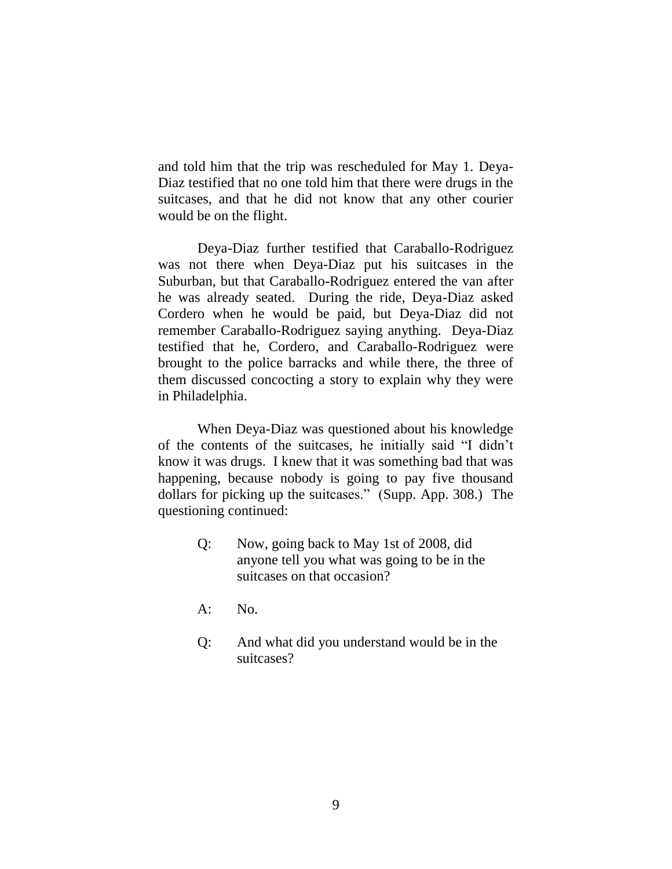and told him that the trip was rescheduled for May 1. Deya-Diaz testified that no one told him that there were drugs in the suitcases, and that he did not know that any other courier would be on the flight.

Deya-Diaz further testified that Caraballo-Rodriguez was not there when Deya-Diaz put his suitcases in the Suburban, but that Caraballo-Rodriguez entered the van after he was already seated. During the ride, Deya-Diaz asked Cordero when he would be paid, but Deya-Diaz did not remember Caraballo-Rodriguez saying anything. Deya-Diaz testified that he, Cordero, and Caraballo-Rodriguez were brought to the police barracks and while there, the three of them discussed concocting a story to explain why they were in Philadelphia.

When Deya-Diaz was questioned about his knowledge of the contents of the suitcases, he initially said "I didn't know it was drugs. I knew that it was something bad that was happening, because nobody is going to pay five thousand dollars for picking up the suitcases." (Supp. App. 308.) The questioning continued:

- Q: Now, going back to May 1st of 2008, did anyone tell you what was going to be in the suitcases on that occasion?
- A: No.
- Q: And what did you understand would be in the suitcases?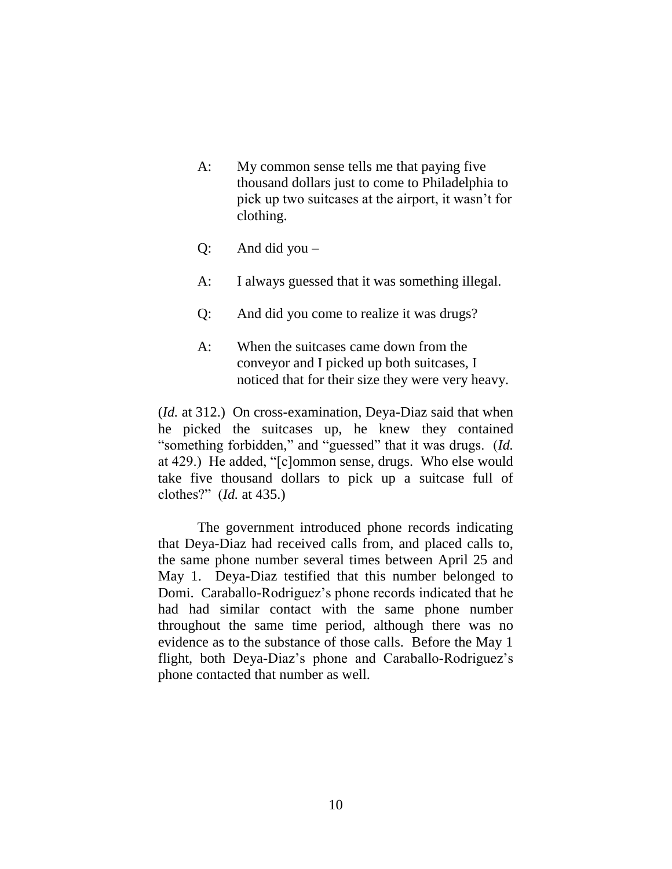- A: My common sense tells me that paying five thousand dollars just to come to Philadelphia to pick up two suitcases at the airport, it wasn't for clothing.
- Q: And did you –
- A: I always guessed that it was something illegal.
- Q: And did you come to realize it was drugs?
- A: When the suitcases came down from the conveyor and I picked up both suitcases, I noticed that for their size they were very heavy.

(*Id.* at 312.) On cross-examination, Deya-Diaz said that when he picked the suitcases up, he knew they contained "something forbidden," and "guessed" that it was drugs. (*Id.* at 429.) He added, "[c]ommon sense, drugs. Who else would take five thousand dollars to pick up a suitcase full of clothes?" (*Id.* at 435.)

The government introduced phone records indicating that Deya-Diaz had received calls from, and placed calls to, the same phone number several times between April 25 and May 1. Deya-Diaz testified that this number belonged to Domi. Caraballo-Rodriguez's phone records indicated that he had had similar contact with the same phone number throughout the same time period, although there was no evidence as to the substance of those calls. Before the May 1 flight, both Deya-Diaz's phone and Caraballo-Rodriguez's phone contacted that number as well.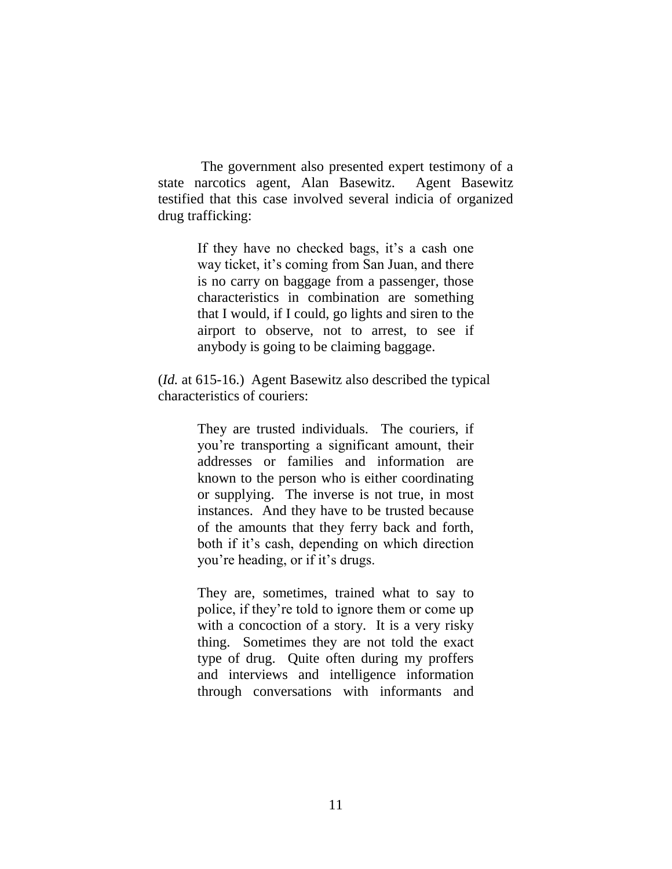The government also presented expert testimony of a state narcotics agent, Alan Basewitz. Agent Basewitz testified that this case involved several indicia of organized drug trafficking:

> If they have no checked bags, it's a cash one way ticket, it's coming from San Juan, and there is no carry on baggage from a passenger, those characteristics in combination are something that I would, if I could, go lights and siren to the airport to observe, not to arrest, to see if anybody is going to be claiming baggage.

(*Id.* at 615-16.) Agent Basewitz also described the typical characteristics of couriers:

> They are trusted individuals. The couriers, if you're transporting a significant amount, their addresses or families and information are known to the person who is either coordinating or supplying. The inverse is not true, in most instances. And they have to be trusted because of the amounts that they ferry back and forth, both if it's cash, depending on which direction you're heading, or if it's drugs.

> They are, sometimes, trained what to say to police, if they're told to ignore them or come up with a concoction of a story. It is a very risky thing. Sometimes they are not told the exact type of drug. Quite often during my proffers and interviews and intelligence information through conversations with informants and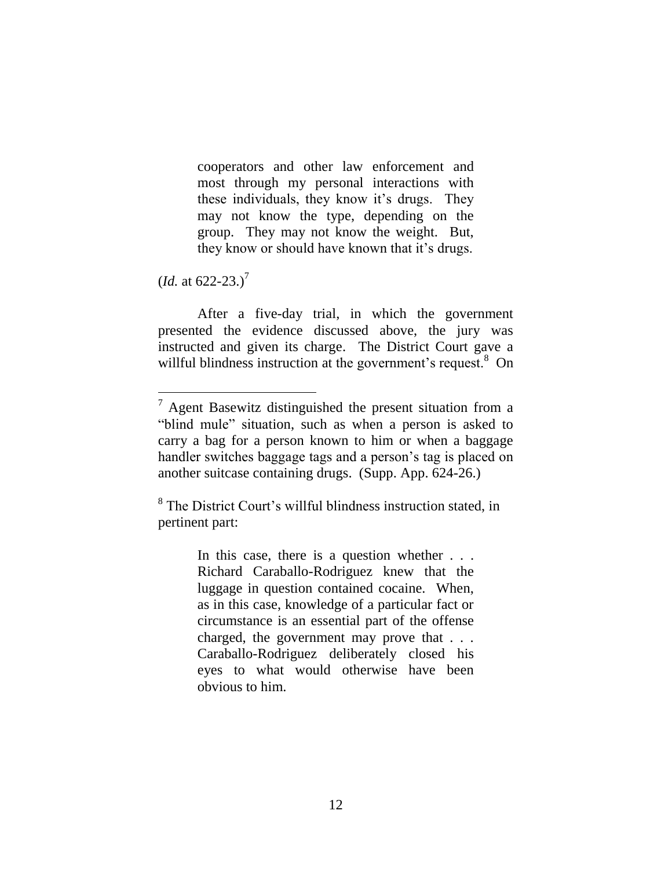cooperators and other law enforcement and most through my personal interactions with these individuals, they know it's drugs. They may not know the type, depending on the group. They may not know the weight. But, they know or should have known that it's drugs.

 $(Id. at 622-23.)^7$ 

After a five-day trial, in which the government presented the evidence discussed above, the jury was instructed and given its charge. The District Court gave a willful blindness instruction at the government's request.<sup>8</sup> On

<sup>8</sup> The District Court's willful blindness instruction stated, in pertinent part:

> In this case, there is a question whether . . . Richard Caraballo-Rodriguez knew that the luggage in question contained cocaine. When, as in this case, knowledge of a particular fact or circumstance is an essential part of the offense charged, the government may prove that . . . Caraballo-Rodriguez deliberately closed his eyes to what would otherwise have been obvious to him.

 $7$  Agent Basewitz distinguished the present situation from a "blind mule" situation, such as when a person is asked to carry a bag for a person known to him or when a baggage handler switches baggage tags and a person's tag is placed on another suitcase containing drugs. (Supp. App. 624-26.)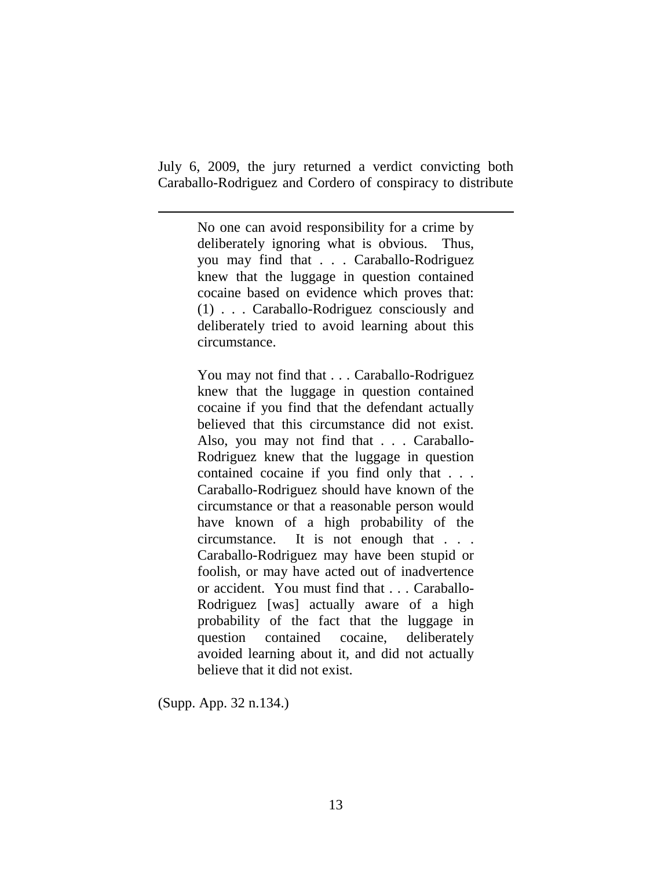July 6, 2009, the jury returned a verdict convicting both Caraballo-Rodriguez and Cordero of conspiracy to distribute

> No one can avoid responsibility for a crime by deliberately ignoring what is obvious. Thus, you may find that . . . Caraballo-Rodriguez knew that the luggage in question contained cocaine based on evidence which proves that: (1) . . . Caraballo-Rodriguez consciously and deliberately tried to avoid learning about this circumstance.

> You may not find that . . . Caraballo-Rodriguez knew that the luggage in question contained cocaine if you find that the defendant actually believed that this circumstance did not exist. Also, you may not find that . . . Caraballo-Rodriguez knew that the luggage in question contained cocaine if you find only that . . . Caraballo-Rodriguez should have known of the circumstance or that a reasonable person would have known of a high probability of the circumstance. It is not enough that . . . Caraballo-Rodriguez may have been stupid or foolish, or may have acted out of inadvertence or accident. You must find that . . . Caraballo-Rodriguez [was] actually aware of a high probability of the fact that the luggage in question contained cocaine, deliberately avoided learning about it, and did not actually believe that it did not exist.

(Supp. App. 32 n.134.)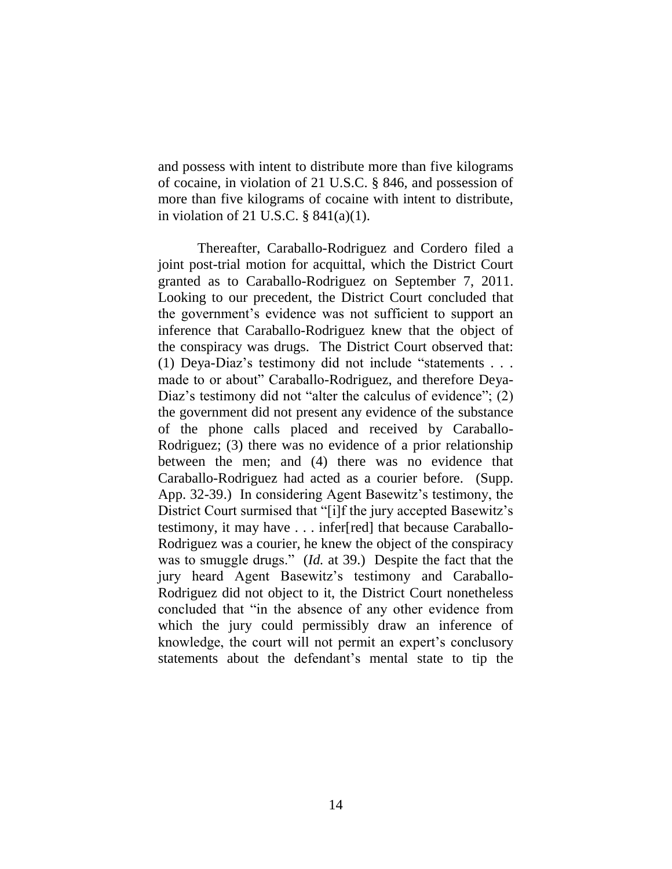and possess with intent to distribute more than five kilograms of cocaine, in violation of 21 U.S.C. § 846, and possession of more than five kilograms of cocaine with intent to distribute, in violation of 21 U.S.C. § 841(a)(1).

Thereafter, Caraballo-Rodriguez and Cordero filed a joint post-trial motion for acquittal, which the District Court granted as to Caraballo-Rodriguez on September 7, 2011. Looking to our precedent, the District Court concluded that the government's evidence was not sufficient to support an inference that Caraballo-Rodriguez knew that the object of the conspiracy was drugs. The District Court observed that: (1) Deya-Diaz's testimony did not include "statements . . . made to or about" Caraballo-Rodriguez, and therefore Deya-Diaz's testimony did not "alter the calculus of evidence"; (2) the government did not present any evidence of the substance of the phone calls placed and received by Caraballo-Rodriguez; (3) there was no evidence of a prior relationship between the men; and (4) there was no evidence that Caraballo-Rodriguez had acted as a courier before. (Supp. App. 32-39.) In considering Agent Basewitz's testimony, the District Court surmised that "[i]f the jury accepted Basewitz's testimony, it may have . . . infer[red] that because Caraballo-Rodriguez was a courier, he knew the object of the conspiracy was to smuggle drugs." (*Id.* at 39.) Despite the fact that the jury heard Agent Basewitz's testimony and Caraballo-Rodriguez did not object to it, the District Court nonetheless concluded that "in the absence of any other evidence from which the jury could permissibly draw an inference of knowledge, the court will not permit an expert's conclusory statements about the defendant's mental state to tip the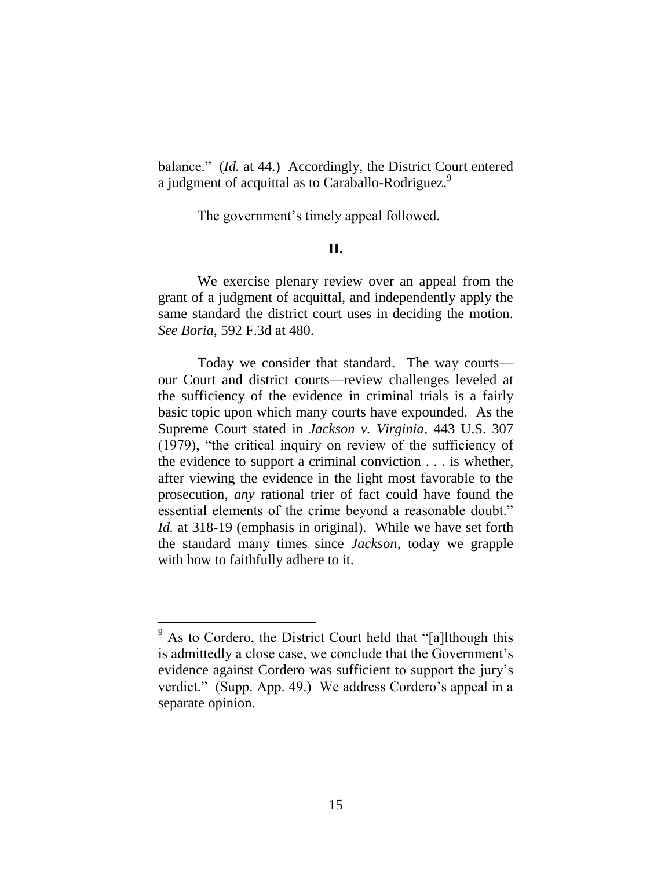balance." (*Id.* at 44.) Accordingly, the District Court entered a judgment of acquittal as to Caraballo-Rodriguez.<sup>9</sup>

The government's timely appeal followed.

## **II.**

We exercise plenary review over an appeal from the grant of a judgment of acquittal, and independently apply the same standard the district court uses in deciding the motion. *See Boria*, 592 F.3d at 480.

Today we consider that standard. The way courts our Court and district courts—review challenges leveled at the sufficiency of the evidence in criminal trials is a fairly basic topic upon which many courts have expounded. As the Supreme Court stated in *Jackson v. Virginia*, 443 U.S. 307 (1979), "the critical inquiry on review of the sufficiency of the evidence to support a criminal conviction . . . is whether, after viewing the evidence in the light most favorable to the prosecution, *any* rational trier of fact could have found the essential elements of the crime beyond a reasonable doubt." *Id.* at 318-19 (emphasis in original). While we have set forth the standard many times since *Jackson*, today we grapple with how to faithfully adhere to it.

<sup>&</sup>lt;sup>9</sup> As to Cordero, the District Court held that "[a]lthough this is admittedly a close case, we conclude that the Government's evidence against Cordero was sufficient to support the jury's verdict." (Supp. App. 49.) We address Cordero's appeal in a separate opinion.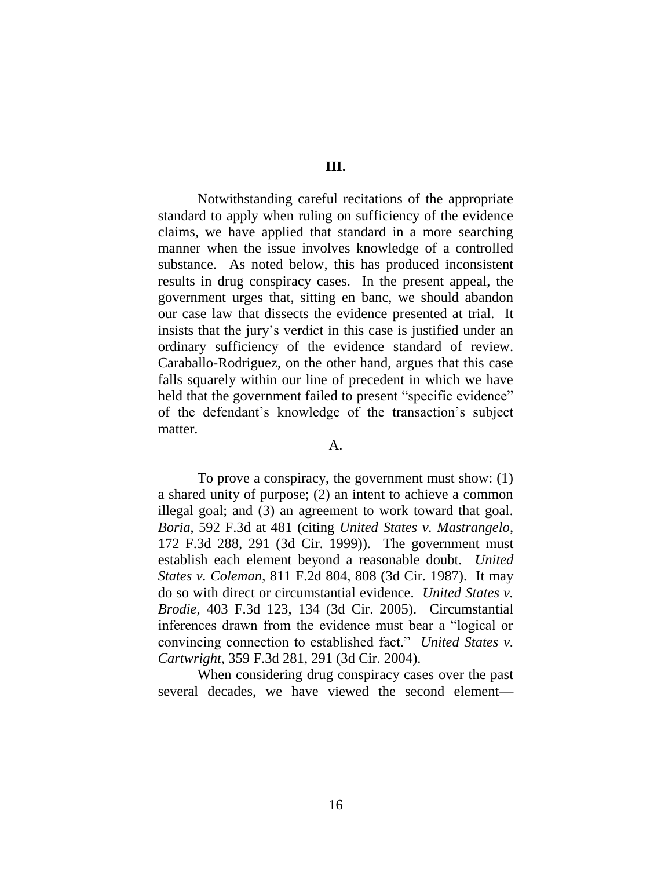**III.** 

Notwithstanding careful recitations of the appropriate standard to apply when ruling on sufficiency of the evidence claims, we have applied that standard in a more searching manner when the issue involves knowledge of a controlled substance. As noted below, this has produced inconsistent results in drug conspiracy cases. In the present appeal, the government urges that, sitting en banc, we should abandon our case law that dissects the evidence presented at trial. It insists that the jury's verdict in this case is justified under an ordinary sufficiency of the evidence standard of review. Caraballo-Rodriguez, on the other hand, argues that this case falls squarely within our line of precedent in which we have held that the government failed to present "specific evidence" of the defendant's knowledge of the transaction's subject matter.

#### A.

To prove a conspiracy, the government must show: (1) a shared unity of purpose; (2) an intent to achieve a common illegal goal; and (3) an agreement to work toward that goal. *Boria*, 592 F.3d at 481 (citing *United States v. Mastrangelo*, 172 F.3d 288, 291 (3d Cir. 1999)). The government must establish each element beyond a reasonable doubt. *United States v. Coleman*, 811 F.2d 804, 808 (3d Cir. 1987). It may do so with direct or circumstantial evidence. *United States v. Brodie*, 403 F.3d 123, 134 (3d Cir. 2005). Circumstantial inferences drawn from the evidence must bear a "logical or convincing connection to established fact." *United States v. Cartwright*, 359 F.3d 281, 291 (3d Cir. 2004).

When considering drug conspiracy cases over the past several decades, we have viewed the second element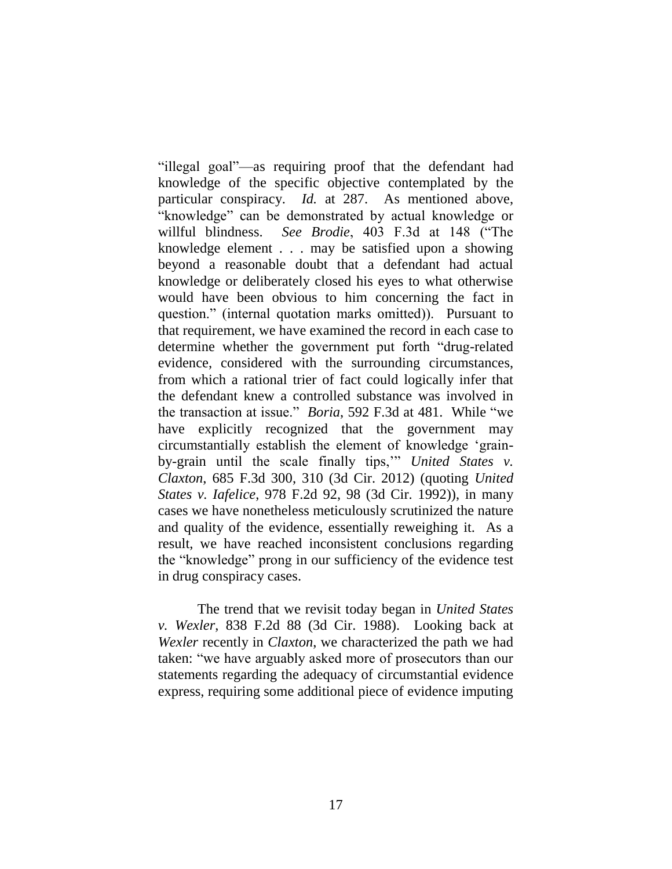"illegal goal"—as requiring proof that the defendant had knowledge of the specific objective contemplated by the particular conspiracy. *Id.* at 287. As mentioned above, "knowledge" can be demonstrated by actual knowledge or willful blindness. *See Brodie*, 403 F.3d at 148 ("The knowledge element . . . may be satisfied upon a showing beyond a reasonable doubt that a defendant had actual knowledge or deliberately closed his eyes to what otherwise would have been obvious to him concerning the fact in question." (internal quotation marks omitted)). Pursuant to that requirement, we have examined the record in each case to determine whether the government put forth "drug-related evidence, considered with the surrounding circumstances, from which a rational trier of fact could logically infer that the defendant knew a controlled substance was involved in the transaction at issue." *Boria*, 592 F.3d at 481. While "we have explicitly recognized that the government may circumstantially establish the element of knowledge 'grainby-grain until the scale finally tips,'" *United States v. Claxton*, 685 F.3d 300, 310 (3d Cir. 2012) (quoting *United States v. Iafelice*, 978 F.2d 92, 98 (3d Cir. 1992)), in many cases we have nonetheless meticulously scrutinized the nature and quality of the evidence, essentially reweighing it. As a result, we have reached inconsistent conclusions regarding the "knowledge" prong in our sufficiency of the evidence test in drug conspiracy cases.

The trend that we revisit today began in *United States v. Wexler*, 838 F.2d 88 (3d Cir. 1988). Looking back at *Wexler* recently in *Claxton*, we characterized the path we had taken: "we have arguably asked more of prosecutors than our statements regarding the adequacy of circumstantial evidence express, requiring some additional piece of evidence imputing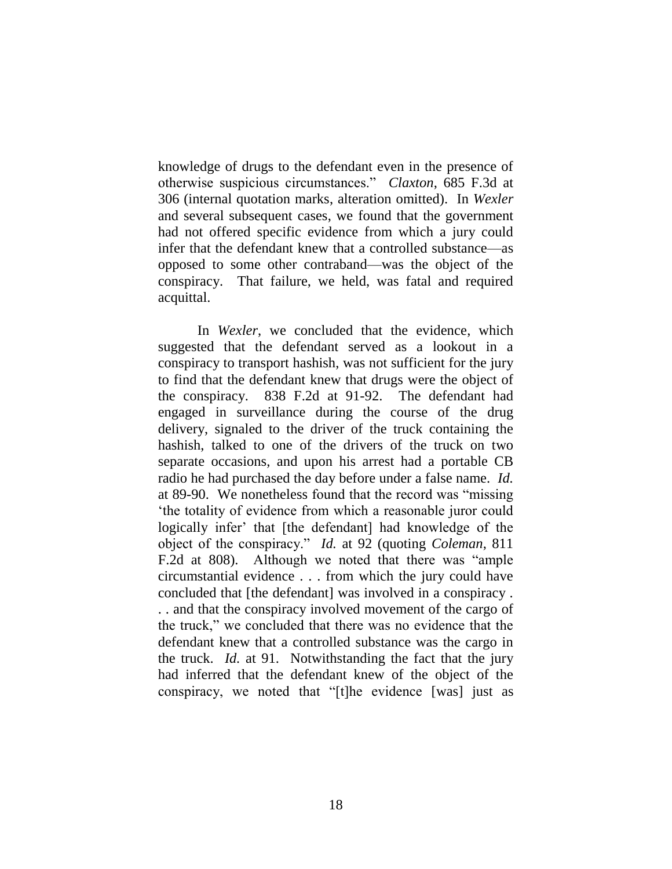knowledge of drugs to the defendant even in the presence of otherwise suspicious circumstances." *Claxton*, 685 F.3d at 306 (internal quotation marks, alteration omitted). In *Wexler* and several subsequent cases, we found that the government had not offered specific evidence from which a jury could infer that the defendant knew that a controlled substance—as opposed to some other contraband—was the object of the conspiracy. That failure, we held, was fatal and required acquittal.

In *Wexler*, we concluded that the evidence, which suggested that the defendant served as a lookout in a conspiracy to transport hashish, was not sufficient for the jury to find that the defendant knew that drugs were the object of the conspiracy. 838 F.2d at 91-92. The defendant had engaged in surveillance during the course of the drug delivery, signaled to the driver of the truck containing the hashish, talked to one of the drivers of the truck on two separate occasions, and upon his arrest had a portable CB radio he had purchased the day before under a false name. *Id.*  at 89-90. We nonetheless found that the record was "missing 'the totality of evidence from which a reasonable juror could logically infer' that [the defendant] had knowledge of the object of the conspiracy." *Id.* at 92 (quoting *Coleman*, 811 F.2d at 808). Although we noted that there was "ample circumstantial evidence . . . from which the jury could have concluded that [the defendant] was involved in a conspiracy . . . and that the conspiracy involved movement of the cargo of the truck," we concluded that there was no evidence that the defendant knew that a controlled substance was the cargo in the truck. *Id.* at 91. Notwithstanding the fact that the jury had inferred that the defendant knew of the object of the conspiracy, we noted that "[t]he evidence [was] just as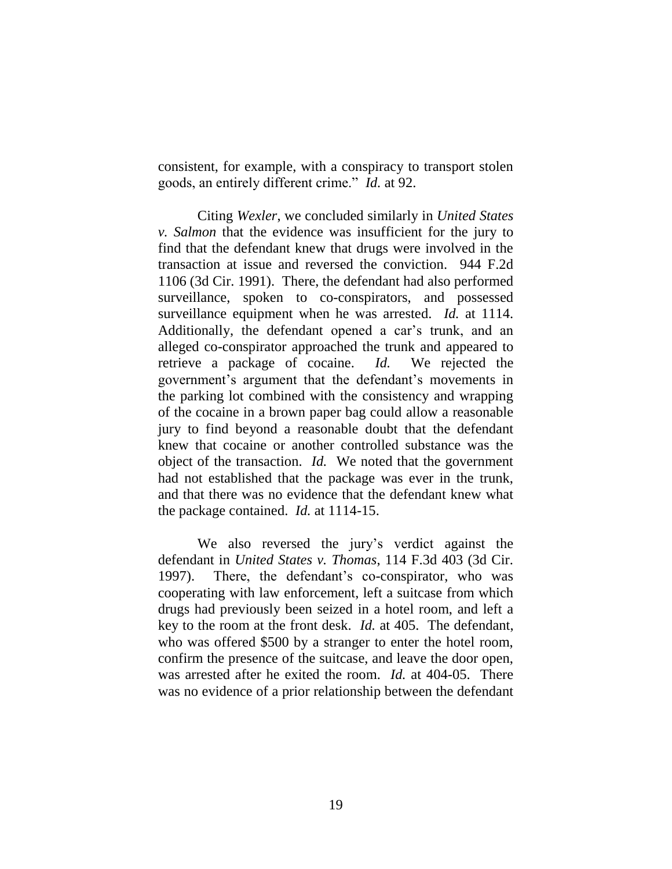consistent, for example, with a conspiracy to transport stolen goods, an entirely different crime." *Id.* at 92.

Citing *Wexler*, we concluded similarly in *United States v. Salmon* that the evidence was insufficient for the jury to find that the defendant knew that drugs were involved in the transaction at issue and reversed the conviction. 944 F.2d 1106 (3d Cir. 1991). There, the defendant had also performed surveillance, spoken to co-conspirators, and possessed surveillance equipment when he was arrested. *Id.* at 1114. Additionally, the defendant opened a car's trunk, and an alleged co-conspirator approached the trunk and appeared to retrieve a package of cocaine. *Id.* We rejected the government's argument that the defendant's movements in the parking lot combined with the consistency and wrapping of the cocaine in a brown paper bag could allow a reasonable jury to find beyond a reasonable doubt that the defendant knew that cocaine or another controlled substance was the object of the transaction. *Id.* We noted that the government had not established that the package was ever in the trunk, and that there was no evidence that the defendant knew what the package contained. *Id.* at 1114-15.

We also reversed the jury's verdict against the defendant in *United States v. Thomas*, 114 F.3d 403 (3d Cir. 1997). There, the defendant's co-conspirator, who was cooperating with law enforcement, left a suitcase from which drugs had previously been seized in a hotel room, and left a key to the room at the front desk. *Id.* at 405. The defendant, who was offered \$500 by a stranger to enter the hotel room, confirm the presence of the suitcase, and leave the door open, was arrested after he exited the room. *Id.* at 404-05. There was no evidence of a prior relationship between the defendant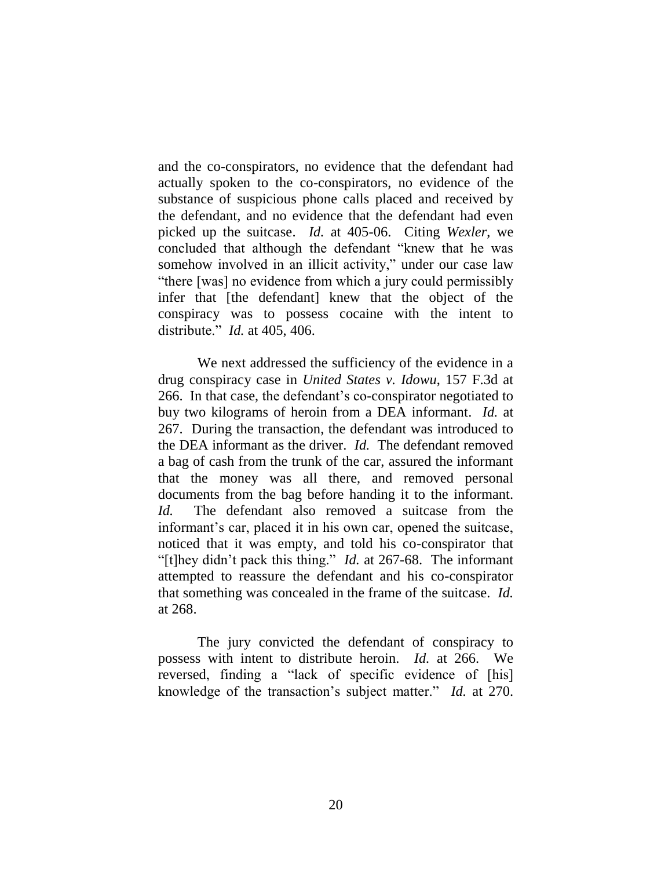and the co-conspirators, no evidence that the defendant had actually spoken to the co-conspirators, no evidence of the substance of suspicious phone calls placed and received by the defendant, and no evidence that the defendant had even picked up the suitcase. *Id.* at 405-06. Citing *Wexler*, we concluded that although the defendant "knew that he was somehow involved in an illicit activity," under our case law "there [was] no evidence from which a jury could permissibly infer that [the defendant] knew that the object of the conspiracy was to possess cocaine with the intent to distribute." *Id.* at 405, 406.

We next addressed the sufficiency of the evidence in a drug conspiracy case in *United States v. Idowu*, 157 F.3d at 266. In that case, the defendant's co-conspirator negotiated to buy two kilograms of heroin from a DEA informant. *Id.* at 267. During the transaction, the defendant was introduced to the DEA informant as the driver. *Id.* The defendant removed a bag of cash from the trunk of the car, assured the informant that the money was all there, and removed personal documents from the bag before handing it to the informant. *Id.* The defendant also removed a suitcase from the informant's car, placed it in his own car, opened the suitcase, noticed that it was empty, and told his co-conspirator that "[t]hey didn't pack this thing." *Id.* at 267-68. The informant attempted to reassure the defendant and his co-conspirator that something was concealed in the frame of the suitcase. *Id.* at 268.

The jury convicted the defendant of conspiracy to possess with intent to distribute heroin. *Id.* at 266. We reversed, finding a "lack of specific evidence of [his] knowledge of the transaction's subject matter." *Id.* at 270.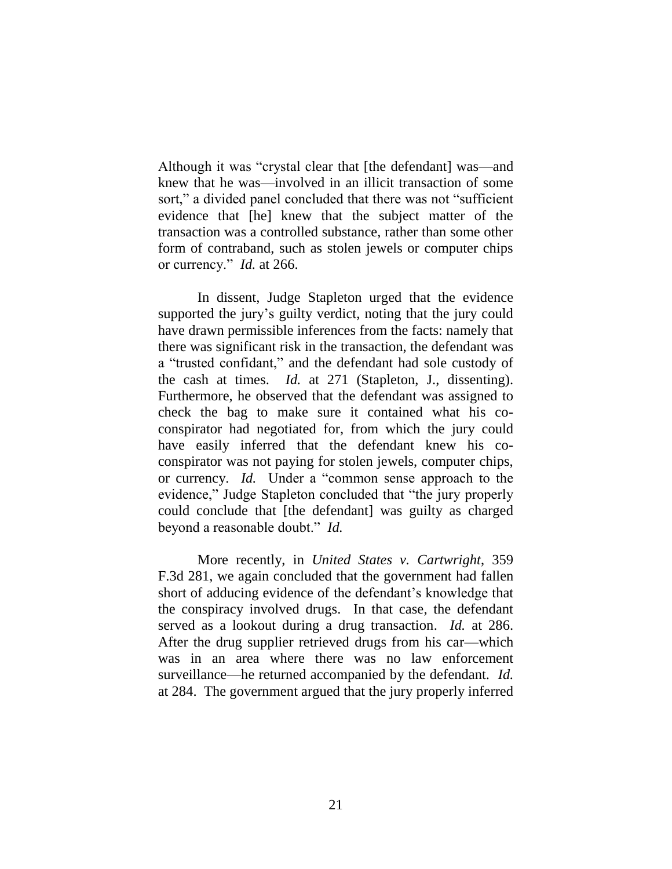Although it was "crystal clear that [the defendant] was—and knew that he was—involved in an illicit transaction of some sort," a divided panel concluded that there was not "sufficient evidence that [he] knew that the subject matter of the transaction was a controlled substance, rather than some other form of contraband, such as stolen jewels or computer chips or currency." *Id.* at 266.

In dissent, Judge Stapleton urged that the evidence supported the jury's guilty verdict, noting that the jury could have drawn permissible inferences from the facts: namely that there was significant risk in the transaction, the defendant was a "trusted confidant," and the defendant had sole custody of the cash at times. *Id.* at 271 (Stapleton, J., dissenting). Furthermore, he observed that the defendant was assigned to check the bag to make sure it contained what his coconspirator had negotiated for, from which the jury could have easily inferred that the defendant knew his coconspirator was not paying for stolen jewels, computer chips, or currency. *Id.* Under a "common sense approach to the evidence," Judge Stapleton concluded that "the jury properly could conclude that [the defendant] was guilty as charged beyond a reasonable doubt." *Id.*

More recently, in *United States v. Cartwright*, 359 F.3d 281, we again concluded that the government had fallen short of adducing evidence of the defendant's knowledge that the conspiracy involved drugs. In that case, the defendant served as a lookout during a drug transaction. *Id.* at 286. After the drug supplier retrieved drugs from his car—which was in an area where there was no law enforcement surveillance—he returned accompanied by the defendant. *Id.* at 284. The government argued that the jury properly inferred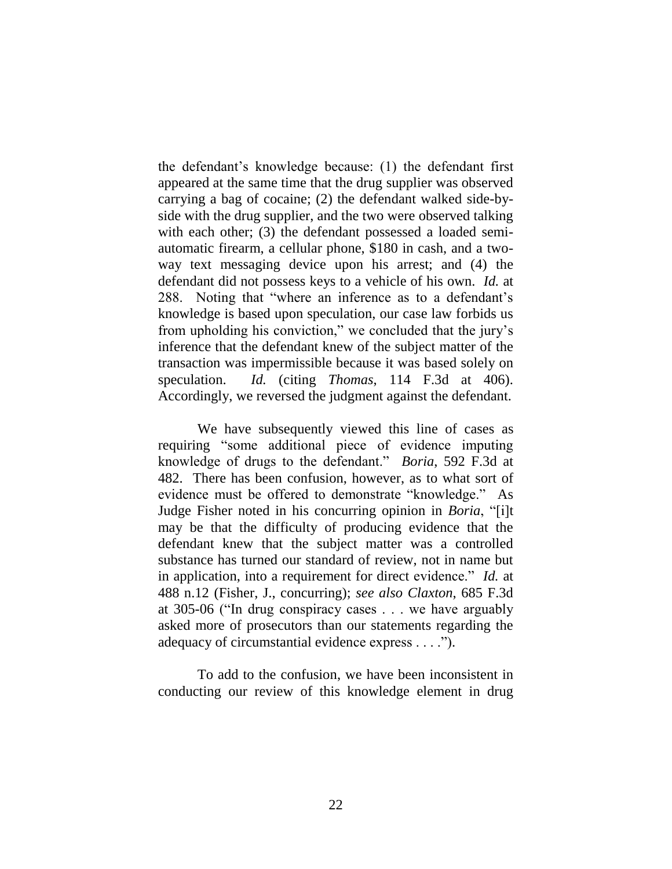the defendant's knowledge because: (1) the defendant first appeared at the same time that the drug supplier was observed carrying a bag of cocaine; (2) the defendant walked side-byside with the drug supplier, and the two were observed talking with each other; (3) the defendant possessed a loaded semiautomatic firearm, a cellular phone, \$180 in cash, and a twoway text messaging device upon his arrest; and (4) the defendant did not possess keys to a vehicle of his own. *Id.* at 288. Noting that "where an inference as to a defendant's knowledge is based upon speculation, our case law forbids us from upholding his conviction," we concluded that the jury's inference that the defendant knew of the subject matter of the transaction was impermissible because it was based solely on speculation. *Id.* (citing *Thomas*, 114 F.3d at 406). Accordingly, we reversed the judgment against the defendant.

We have subsequently viewed this line of cases as requiring "some additional piece of evidence imputing knowledge of drugs to the defendant." *Boria*, 592 F.3d at 482. There has been confusion, however, as to what sort of evidence must be offered to demonstrate "knowledge." As Judge Fisher noted in his concurring opinion in *Boria*, "[i]t may be that the difficulty of producing evidence that the defendant knew that the subject matter was a controlled substance has turned our standard of review, not in name but in application, into a requirement for direct evidence." *Id.* at 488 n.12 (Fisher, J., concurring); *see also Claxton*, 685 F.3d at 305-06 ("In drug conspiracy cases . . . we have arguably asked more of prosecutors than our statements regarding the adequacy of circumstantial evidence express . . . .").

To add to the confusion, we have been inconsistent in conducting our review of this knowledge element in drug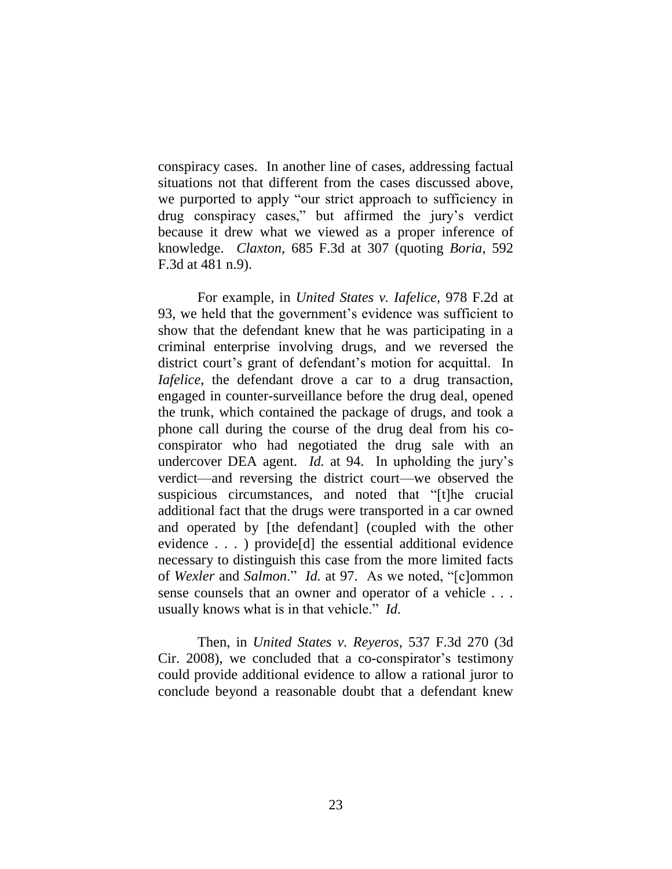conspiracy cases. In another line of cases, addressing factual situations not that different from the cases discussed above, we purported to apply "our strict approach to sufficiency in drug conspiracy cases," but affirmed the jury's verdict because it drew what we viewed as a proper inference of knowledge. *Claxton*, 685 F.3d at 307 (quoting *Boria*, 592 F.3d at 481 n.9).

For example, in *United States v. Iafelice*, 978 F.2d at 93, we held that the government's evidence was sufficient to show that the defendant knew that he was participating in a criminal enterprise involving drugs, and we reversed the district court's grant of defendant's motion for acquittal. In *Iafelice*, the defendant drove a car to a drug transaction, engaged in counter-surveillance before the drug deal, opened the trunk, which contained the package of drugs, and took a phone call during the course of the drug deal from his coconspirator who had negotiated the drug sale with an undercover DEA agent. *Id.* at 94. In upholding the jury's verdict—and reversing the district court—we observed the suspicious circumstances, and noted that "[t]he crucial additional fact that the drugs were transported in a car owned and operated by [the defendant] (coupled with the other evidence . . . ) provide[d] the essential additional evidence necessary to distinguish this case from the more limited facts of *Wexler* and *Salmon*." *Id.* at 97. As we noted, "[c]ommon sense counsels that an owner and operator of a vehicle . . . usually knows what is in that vehicle." *Id.*

Then, in *United States v. Reyeros*, 537 F.3d 270 (3d Cir. 2008), we concluded that a co-conspirator's testimony could provide additional evidence to allow a rational juror to conclude beyond a reasonable doubt that a defendant knew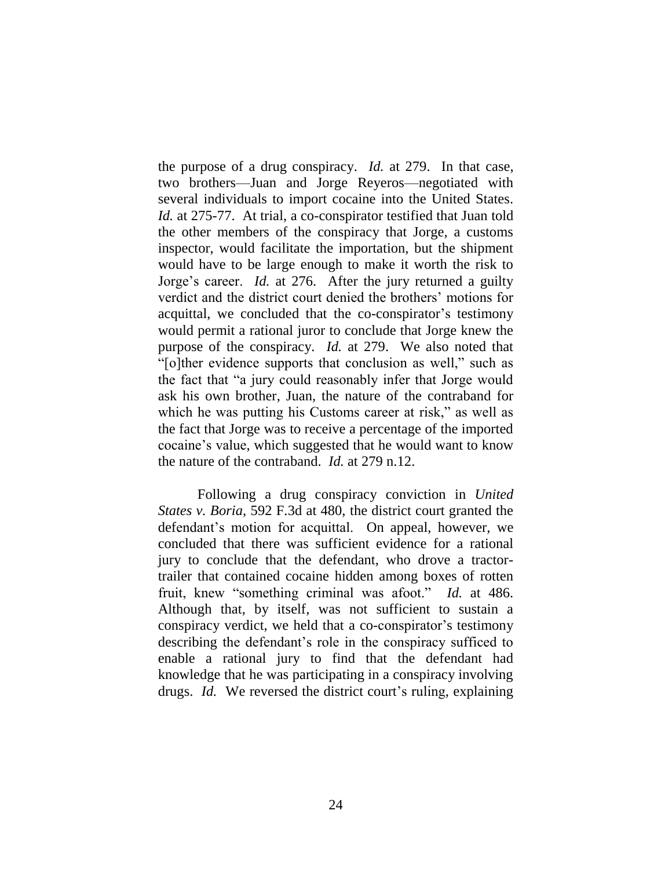the purpose of a drug conspiracy. *Id.* at 279. In that case, two brothers—Juan and Jorge Reyeros—negotiated with several individuals to import cocaine into the United States. *Id.* at 275-77. At trial, a co-conspirator testified that Juan told the other members of the conspiracy that Jorge, a customs inspector, would facilitate the importation, but the shipment would have to be large enough to make it worth the risk to Jorge's career. *Id.* at 276. After the jury returned a guilty verdict and the district court denied the brothers' motions for acquittal, we concluded that the co-conspirator's testimony would permit a rational juror to conclude that Jorge knew the purpose of the conspiracy. *Id.* at 279. We also noted that "[o]ther evidence supports that conclusion as well," such as the fact that "a jury could reasonably infer that Jorge would ask his own brother, Juan, the nature of the contraband for which he was putting his Customs career at risk," as well as the fact that Jorge was to receive a percentage of the imported cocaine's value, which suggested that he would want to know the nature of the contraband. *Id.* at 279 n.12.

Following a drug conspiracy conviction in *United States v. Boria*, 592 F.3d at 480, the district court granted the defendant's motion for acquittal. On appeal, however, we concluded that there was sufficient evidence for a rational jury to conclude that the defendant, who drove a tractortrailer that contained cocaine hidden among boxes of rotten fruit, knew "something criminal was afoot." *Id.* at 486. Although that, by itself, was not sufficient to sustain a conspiracy verdict, we held that a co-conspirator's testimony describing the defendant's role in the conspiracy sufficed to enable a rational jury to find that the defendant had knowledge that he was participating in a conspiracy involving drugs. *Id.* We reversed the district court's ruling, explaining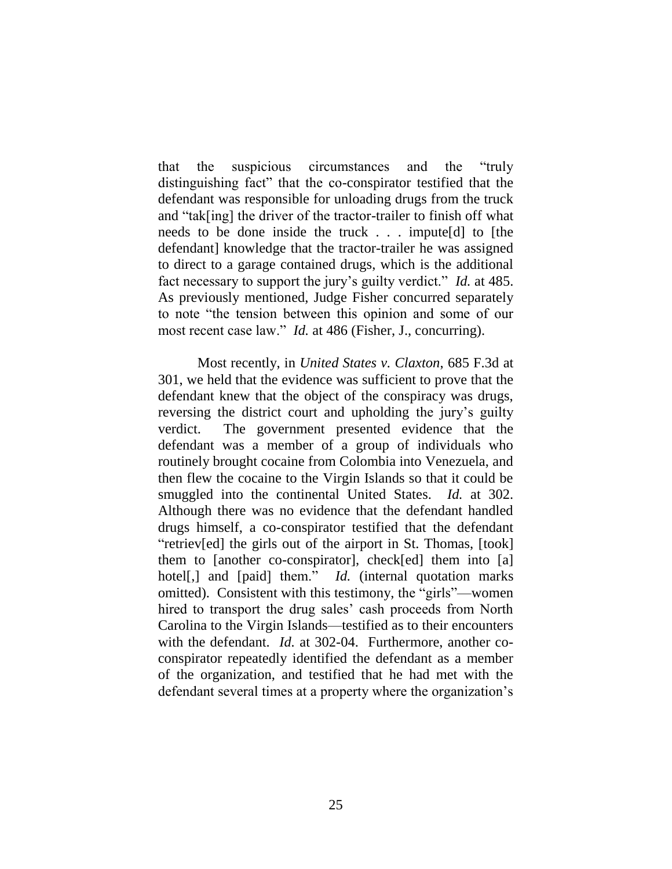that the suspicious circumstances and the "truly distinguishing fact" that the co-conspirator testified that the defendant was responsible for unloading drugs from the truck and "tak[ing] the driver of the tractor-trailer to finish off what needs to be done inside the truck . . . impute[d] to [the defendant] knowledge that the tractor-trailer he was assigned to direct to a garage contained drugs, which is the additional fact necessary to support the jury's guilty verdict." *Id.* at 485. As previously mentioned, Judge Fisher concurred separately to note "the tension between this opinion and some of our most recent case law." *Id.* at 486 (Fisher, J., concurring).

Most recently, in *United States v. Claxton*, 685 F.3d at 301, we held that the evidence was sufficient to prove that the defendant knew that the object of the conspiracy was drugs, reversing the district court and upholding the jury's guilty verdict. The government presented evidence that the defendant was a member of a group of individuals who routinely brought cocaine from Colombia into Venezuela, and then flew the cocaine to the Virgin Islands so that it could be smuggled into the continental United States. *Id.* at 302. Although there was no evidence that the defendant handled drugs himself, a co-conspirator testified that the defendant "retriev[ed] the girls out of the airport in St. Thomas, [took] them to [another co-conspirator], check[ed] them into [a] hotel<sup>[,]</sup> and [paid] them." *Id.* (internal quotation marks omitted). Consistent with this testimony, the "girls"—women hired to transport the drug sales' cash proceeds from North Carolina to the Virgin Islands—testified as to their encounters with the defendant. *Id.* at 302-04. Furthermore, another coconspirator repeatedly identified the defendant as a member of the organization, and testified that he had met with the defendant several times at a property where the organization's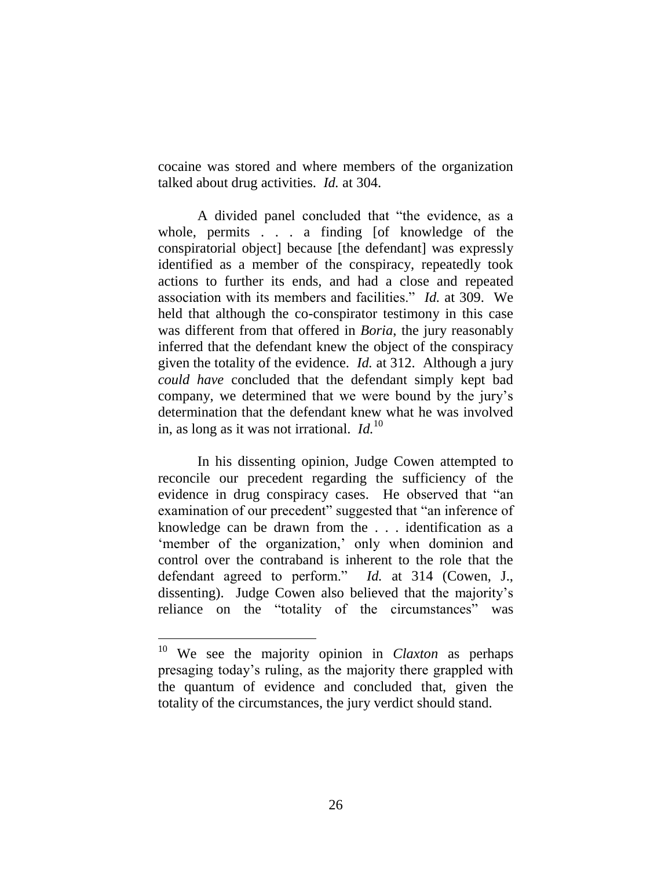cocaine was stored and where members of the organization talked about drug activities. *Id.* at 304.

A divided panel concluded that "the evidence, as a whole, permits . . . a finding [of knowledge of the conspiratorial object] because [the defendant] was expressly identified as a member of the conspiracy, repeatedly took actions to further its ends, and had a close and repeated association with its members and facilities." *Id.* at 309. We held that although the co-conspirator testimony in this case was different from that offered in *Boria*, the jury reasonably inferred that the defendant knew the object of the conspiracy given the totality of the evidence. *Id.* at 312. Although a jury *could have* concluded that the defendant simply kept bad company, we determined that we were bound by the jury's determination that the defendant knew what he was involved in, as long as it was not irrational. *Id.*<sup>10</sup>

In his dissenting opinion, Judge Cowen attempted to reconcile our precedent regarding the sufficiency of the evidence in drug conspiracy cases. He observed that "an examination of our precedent" suggested that "an inference of knowledge can be drawn from the . . . identification as a 'member of the organization,' only when dominion and control over the contraband is inherent to the role that the defendant agreed to perform." *Id.* at 314 (Cowen, J., dissenting). Judge Cowen also believed that the majority's reliance on the "totality of the circumstances" was

 $\overline{a}$ 

<sup>10</sup> We see the majority opinion in *Claxton* as perhaps presaging today's ruling, as the majority there grappled with the quantum of evidence and concluded that, given the totality of the circumstances, the jury verdict should stand.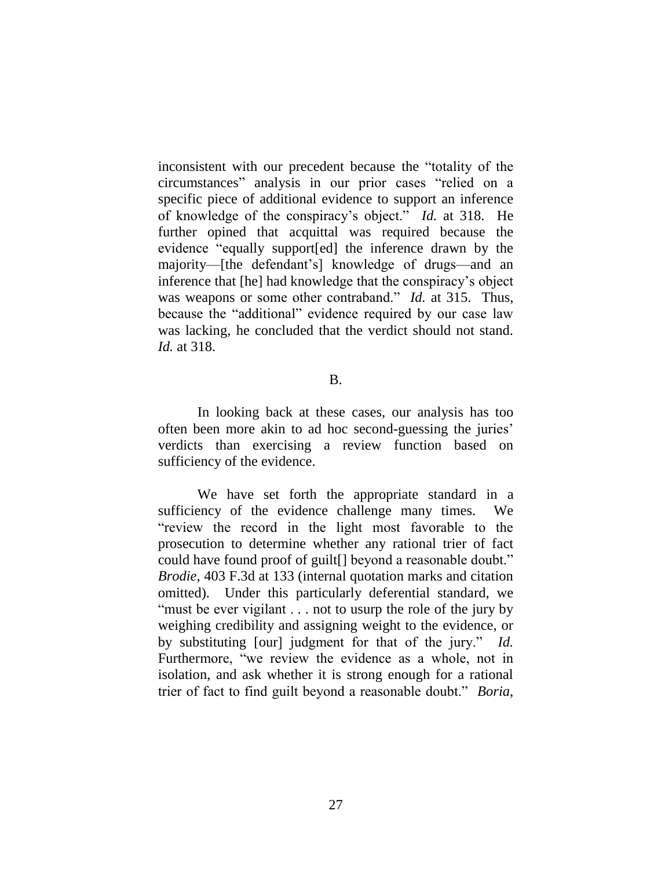inconsistent with our precedent because the "totality of the circumstances" analysis in our prior cases "relied on a specific piece of additional evidence to support an inference of knowledge of the conspiracy's object." *Id.* at 318. He further opined that acquittal was required because the evidence "equally support[ed] the inference drawn by the majority—[the defendant's] knowledge of drugs—and an inference that [he] had knowledge that the conspiracy's object was weapons or some other contraband." *Id.* at 315. Thus, because the "additional" evidence required by our case law was lacking, he concluded that the verdict should not stand. *Id.* at 318.

#### B.

In looking back at these cases, our analysis has too often been more akin to ad hoc second-guessing the juries' verdicts than exercising a review function based on sufficiency of the evidence.

We have set forth the appropriate standard in a sufficiency of the evidence challenge many times. We "review the record in the light most favorable to the prosecution to determine whether any rational trier of fact could have found proof of guilt[] beyond a reasonable doubt." *Brodie*, 403 F.3d at 133 (internal quotation marks and citation omitted). Under this particularly deferential standard, we "must be ever vigilant . . . not to usurp the role of the jury by weighing credibility and assigning weight to the evidence, or by substituting [our] judgment for that of the jury." *Id.* Furthermore, "we review the evidence as a whole, not in isolation, and ask whether it is strong enough for a rational trier of fact to find guilt beyond a reasonable doubt." *Boria*,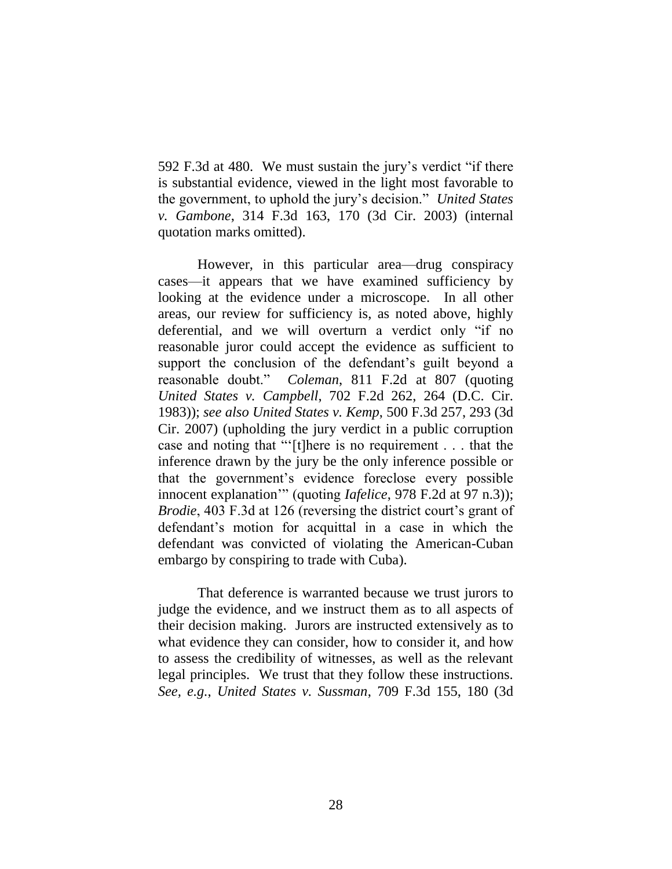592 F.3d at 480. We must sustain the jury's verdict "if there is substantial evidence, viewed in the light most favorable to the government, to uphold the jury's decision." *United States v. Gambone*, 314 F.3d 163, 170 (3d Cir. 2003) (internal quotation marks omitted).

However, in this particular area—drug conspiracy cases—it appears that we have examined sufficiency by looking at the evidence under a microscope. In all other areas, our review for sufficiency is, as noted above, highly deferential, and we will overturn a verdict only "if no reasonable juror could accept the evidence as sufficient to support the conclusion of the defendant's guilt beyond a reasonable doubt." *Coleman*, 811 F.2d at 807 (quoting *United States v. Campbell*, 702 F.2d 262, 264 (D.C. Cir. 1983)); *see also United States v. Kemp*, 500 F.3d 257, 293 (3d Cir. 2007) (upholding the jury verdict in a public corruption case and noting that "'[t]here is no requirement . . . that the inference drawn by the jury be the only inference possible or that the government's evidence foreclose every possible innocent explanation'" (quoting *Iafelice*, 978 F.2d at 97 n.3)); *Brodie*, 403 F.3d at 126 (reversing the district court's grant of defendant's motion for acquittal in a case in which the defendant was convicted of violating the American-Cuban embargo by conspiring to trade with Cuba).

That deference is warranted because we trust jurors to judge the evidence, and we instruct them as to all aspects of their decision making. Jurors are instructed extensively as to what evidence they can consider, how to consider it, and how to assess the credibility of witnesses, as well as the relevant legal principles. We trust that they follow these instructions. *See, e.g.*, *United States v. Sussman*, 709 F.3d 155, 180 (3d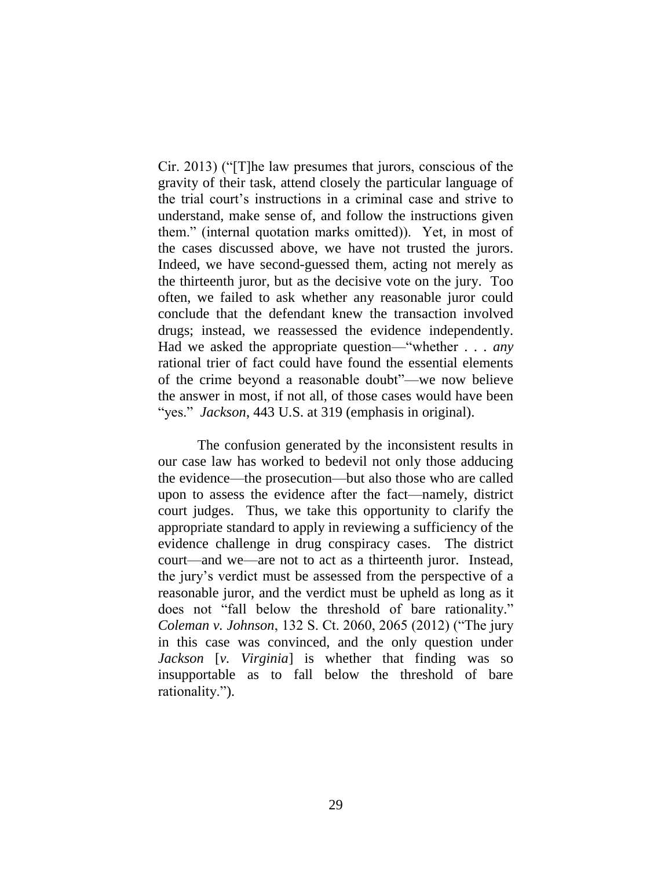Cir. 2013) ("[T]he law presumes that jurors, conscious of the gravity of their task, attend closely the particular language of the trial court's instructions in a criminal case and strive to understand, make sense of, and follow the instructions given them." (internal quotation marks omitted)). Yet, in most of the cases discussed above, we have not trusted the jurors. Indeed, we have second-guessed them, acting not merely as the thirteenth juror, but as the decisive vote on the jury. Too often, we failed to ask whether any reasonable juror could conclude that the defendant knew the transaction involved drugs; instead, we reassessed the evidence independently. Had we asked the appropriate question—"whether . . . *any* rational trier of fact could have found the essential elements of the crime beyond a reasonable doubt"—we now believe the answer in most, if not all, of those cases would have been "yes." *Jackson*, 443 U.S. at 319 (emphasis in original).

The confusion generated by the inconsistent results in our case law has worked to bedevil not only those adducing the evidence—the prosecution—but also those who are called upon to assess the evidence after the fact—namely, district court judges. Thus, we take this opportunity to clarify the appropriate standard to apply in reviewing a sufficiency of the evidence challenge in drug conspiracy cases. The district court—and we—are not to act as a thirteenth juror. Instead, the jury's verdict must be assessed from the perspective of a reasonable juror, and the verdict must be upheld as long as it does not "fall below the threshold of bare rationality." *Coleman v. Johnson*, 132 S. Ct. 2060, 2065 (2012) ("The jury in this case was convinced, and the only question under *Jackson* [*v. Virginia*] is whether that finding was so insupportable as to fall below the threshold of bare rationality.").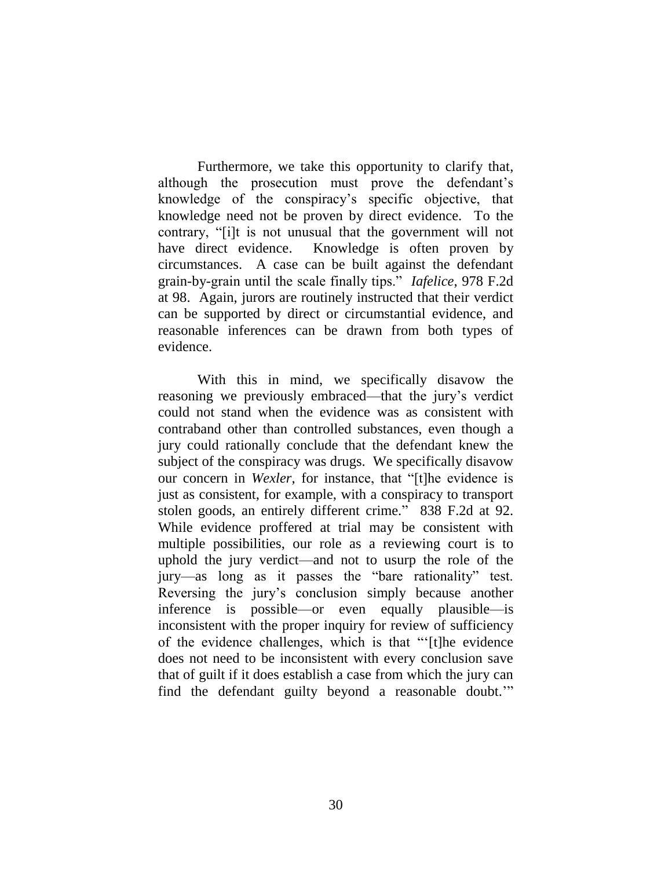Furthermore, we take this opportunity to clarify that, although the prosecution must prove the defendant's knowledge of the conspiracy's specific objective, that knowledge need not be proven by direct evidence. To the contrary, "[i]t is not unusual that the government will not have direct evidence. Knowledge is often proven by circumstances. A case can be built against the defendant grain-by-grain until the scale finally tips." *Iafelice*, 978 F.2d at 98. Again, jurors are routinely instructed that their verdict can be supported by direct or circumstantial evidence, and reasonable inferences can be drawn from both types of evidence.

With this in mind, we specifically disavow the reasoning we previously embraced—that the jury's verdict could not stand when the evidence was as consistent with contraband other than controlled substances, even though a jury could rationally conclude that the defendant knew the subject of the conspiracy was drugs. We specifically disavow our concern in *Wexler*, for instance, that "[t]he evidence is just as consistent, for example, with a conspiracy to transport stolen goods, an entirely different crime." 838 F.2d at 92. While evidence proffered at trial may be consistent with multiple possibilities, our role as a reviewing court is to uphold the jury verdict—and not to usurp the role of the jury—as long as it passes the "bare rationality" test. Reversing the jury's conclusion simply because another inference is possible—or even equally plausible—is inconsistent with the proper inquiry for review of sufficiency of the evidence challenges, which is that "'[t]he evidence does not need to be inconsistent with every conclusion save that of guilt if it does establish a case from which the jury can find the defendant guilty beyond a reasonable doubt.'"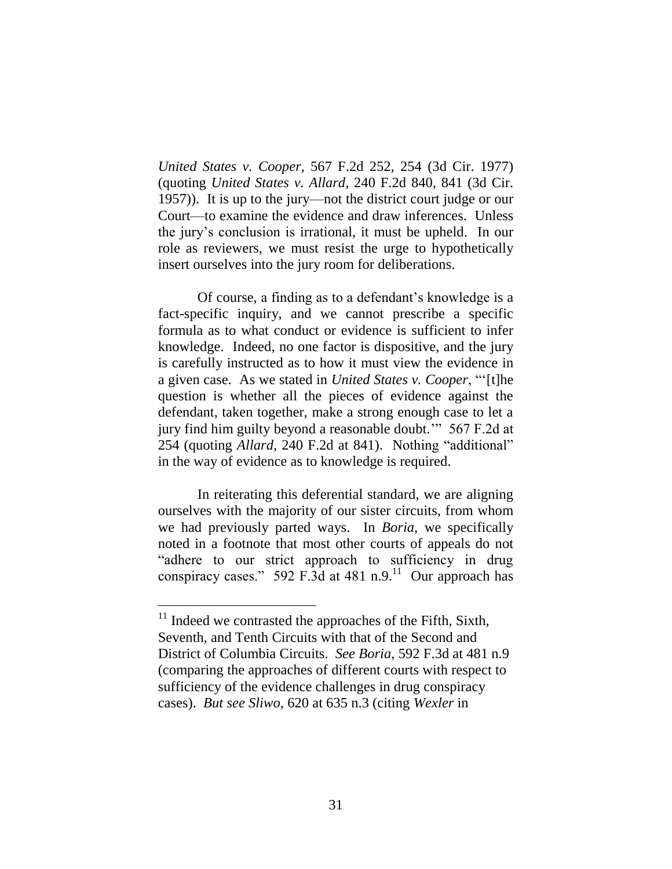*United States v. Cooper*, 567 F.2d 252, 254 (3d Cir. 1977) (quoting *United States v. Allard*, 240 F.2d 840, 841 (3d Cir. 1957)). It is up to the jury—not the district court judge or our Court—to examine the evidence and draw inferences. Unless the jury's conclusion is irrational, it must be upheld. In our role as reviewers, we must resist the urge to hypothetically insert ourselves into the jury room for deliberations.

Of course, a finding as to a defendant's knowledge is a fact-specific inquiry, and we cannot prescribe a specific formula as to what conduct or evidence is sufficient to infer knowledge. Indeed, no one factor is dispositive, and the jury is carefully instructed as to how it must view the evidence in a given case. As we stated in *United States v. Cooper*, "'[t]he question is whether all the pieces of evidence against the defendant, taken together, make a strong enough case to let a jury find him guilty beyond a reasonable doubt.'" 567 F.2d at 254 (quoting *Allard*, 240 F.2d at 841). Nothing "additional" in the way of evidence as to knowledge is required.

In reiterating this deferential standard, we are aligning ourselves with the majority of our sister circuits, from whom we had previously parted ways. In *Boria*, we specifically noted in a footnote that most other courts of appeals do not "adhere to our strict approach to sufficiency in drug conspiracy cases." 592 F.3d at 481 n.9.<sup>11</sup> Our approach has

 $11$  Indeed we contrasted the approaches of the Fifth, Sixth, Seventh, and Tenth Circuits with that of the Second and District of Columbia Circuits. *See Boria*, 592 F.3d at 481 n.9 (comparing the approaches of different courts with respect to sufficiency of the evidence challenges in drug conspiracy cases). *But see Sliwo*, 620 at 635 n.3 (citing *Wexler* in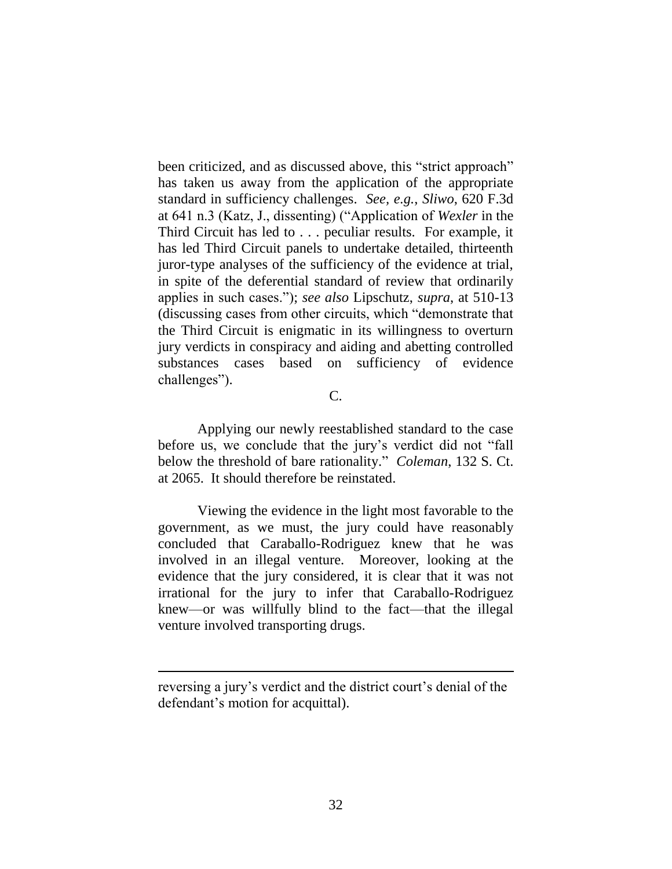been criticized, and as discussed above, this "strict approach" has taken us away from the application of the appropriate standard in sufficiency challenges. *See, e.g.*, *Sliwo*, 620 F.3d at 641 n.3 (Katz, J., dissenting) ("Application of *Wexler* in the Third Circuit has led to . . . peculiar results. For example, it has led Third Circuit panels to undertake detailed, thirteenth juror-type analyses of the sufficiency of the evidence at trial, in spite of the deferential standard of review that ordinarily applies in such cases."); *see also* Lipschutz, *supra*, at 510-13 (discussing cases from other circuits, which "demonstrate that the Third Circuit is enigmatic in its willingness to overturn jury verdicts in conspiracy and aiding and abetting controlled substances cases based on sufficiency of evidence challenges").

#### C.

Applying our newly reestablished standard to the case before us, we conclude that the jury's verdict did not "fall below the threshold of bare rationality." *Coleman*, 132 S. Ct. at 2065. It should therefore be reinstated.

Viewing the evidence in the light most favorable to the government, as we must, the jury could have reasonably concluded that Caraballo-Rodriguez knew that he was involved in an illegal venture. Moreover, looking at the evidence that the jury considered, it is clear that it was not irrational for the jury to infer that Caraballo-Rodriguez knew—or was willfully blind to the fact—that the illegal venture involved transporting drugs.

 $\overline{a}$ 

reversing a jury's verdict and the district court's denial of the defendant's motion for acquittal).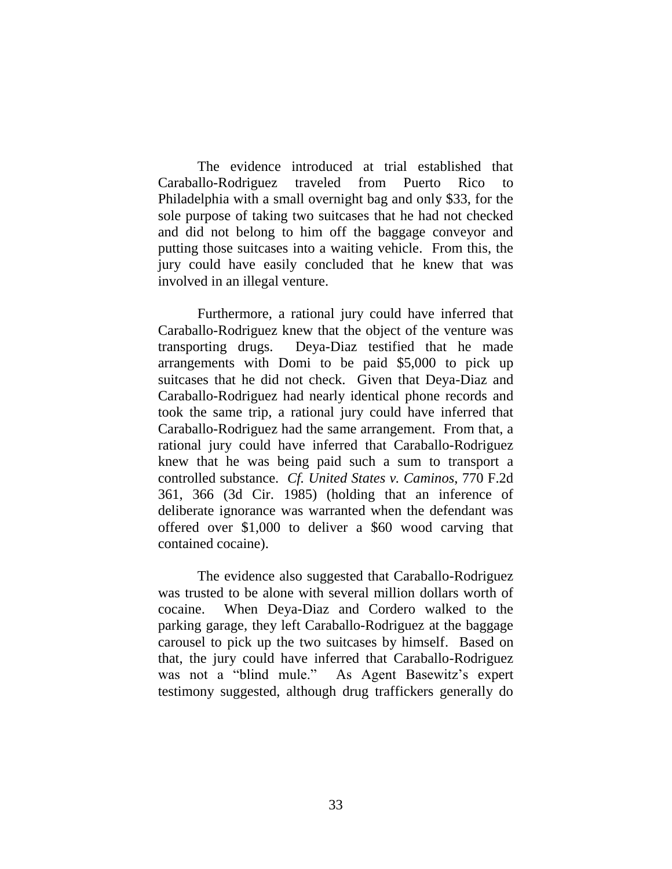The evidence introduced at trial established that Caraballo-Rodriguez traveled from Puerto Rico to Philadelphia with a small overnight bag and only \$33, for the sole purpose of taking two suitcases that he had not checked and did not belong to him off the baggage conveyor and putting those suitcases into a waiting vehicle. From this, the jury could have easily concluded that he knew that was involved in an illegal venture.

Furthermore, a rational jury could have inferred that Caraballo-Rodriguez knew that the object of the venture was transporting drugs. Deya-Diaz testified that he made arrangements with Domi to be paid \$5,000 to pick up suitcases that he did not check. Given that Deya-Diaz and Caraballo-Rodriguez had nearly identical phone records and took the same trip, a rational jury could have inferred that Caraballo-Rodriguez had the same arrangement. From that, a rational jury could have inferred that Caraballo-Rodriguez knew that he was being paid such a sum to transport a controlled substance. *Cf. United States v. Caminos*, 770 F.2d 361, 366 (3d Cir. 1985) (holding that an inference of deliberate ignorance was warranted when the defendant was offered over \$1,000 to deliver a \$60 wood carving that contained cocaine).

The evidence also suggested that Caraballo-Rodriguez was trusted to be alone with several million dollars worth of cocaine. When Deya-Diaz and Cordero walked to the parking garage, they left Caraballo-Rodriguez at the baggage carousel to pick up the two suitcases by himself. Based on that, the jury could have inferred that Caraballo-Rodriguez was not a "blind mule." As Agent Basewitz's expert testimony suggested, although drug traffickers generally do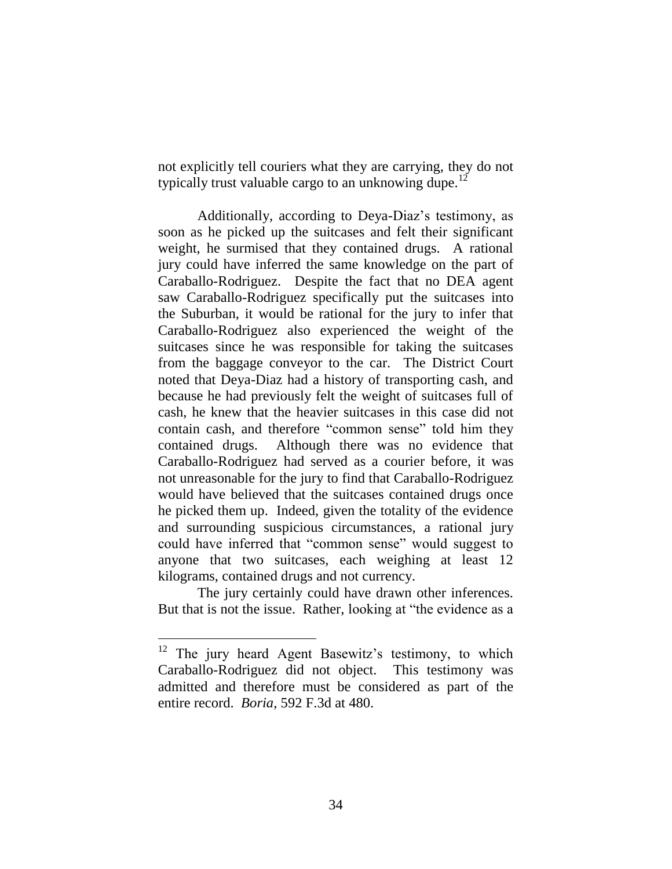not explicitly tell couriers what they are carrying, they do not typically trust valuable cargo to an unknowing dupe.<sup>12</sup>

Additionally, according to Deya-Diaz's testimony, as soon as he picked up the suitcases and felt their significant weight, he surmised that they contained drugs. A rational jury could have inferred the same knowledge on the part of Caraballo-Rodriguez. Despite the fact that no DEA agent saw Caraballo-Rodriguez specifically put the suitcases into the Suburban, it would be rational for the jury to infer that Caraballo-Rodriguez also experienced the weight of the suitcases since he was responsible for taking the suitcases from the baggage conveyor to the car. The District Court noted that Deya-Diaz had a history of transporting cash, and because he had previously felt the weight of suitcases full of cash, he knew that the heavier suitcases in this case did not contain cash, and therefore "common sense" told him they contained drugs. Although there was no evidence that Caraballo-Rodriguez had served as a courier before, it was not unreasonable for the jury to find that Caraballo-Rodriguez would have believed that the suitcases contained drugs once he picked them up. Indeed, given the totality of the evidence and surrounding suspicious circumstances, a rational jury could have inferred that "common sense" would suggest to anyone that two suitcases, each weighing at least 12 kilograms, contained drugs and not currency.

The jury certainly could have drawn other inferences. But that is not the issue. Rather, looking at "the evidence as a

 $\overline{a}$ 

The jury heard Agent Basewitz's testimony, to which Caraballo-Rodriguez did not object. This testimony was admitted and therefore must be considered as part of the entire record. *Boria*, 592 F.3d at 480.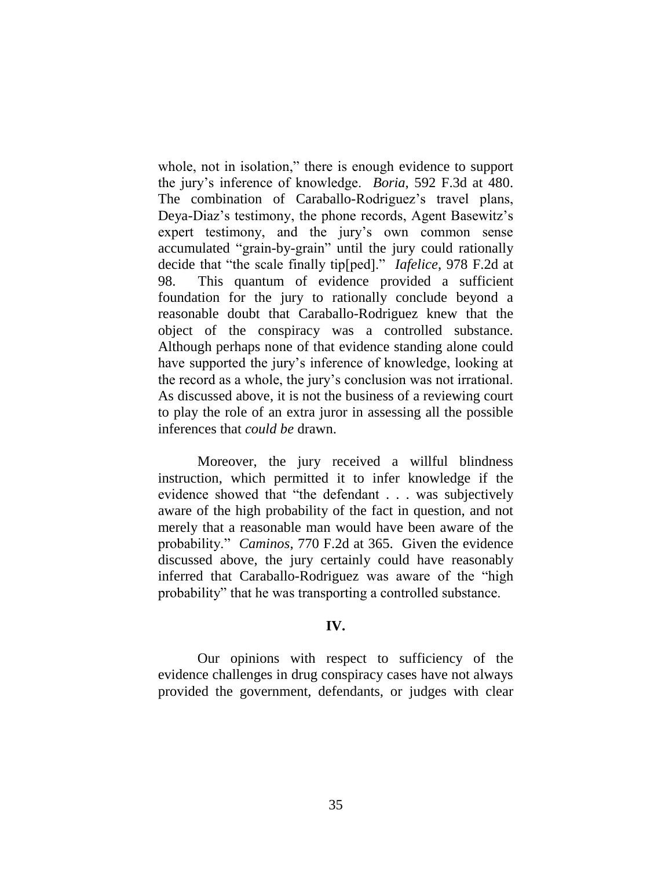whole, not in isolation," there is enough evidence to support the jury's inference of knowledge. *Boria*, 592 F.3d at 480. The combination of Caraballo-Rodriguez's travel plans, Deya-Diaz's testimony, the phone records, Agent Basewitz's expert testimony, and the jury's own common sense accumulated "grain-by-grain" until the jury could rationally decide that "the scale finally tip[ped]." *Iafelice*, 978 F.2d at 98. This quantum of evidence provided a sufficient foundation for the jury to rationally conclude beyond a reasonable doubt that Caraballo-Rodriguez knew that the object of the conspiracy was a controlled substance. Although perhaps none of that evidence standing alone could have supported the jury's inference of knowledge, looking at the record as a whole, the jury's conclusion was not irrational. As discussed above, it is not the business of a reviewing court to play the role of an extra juror in assessing all the possible inferences that *could be* drawn.

Moreover, the jury received a willful blindness instruction, which permitted it to infer knowledge if the evidence showed that "the defendant . . . was subjectively aware of the high probability of the fact in question, and not merely that a reasonable man would have been aware of the probability." *Caminos*, 770 F.2d at 365. Given the evidence discussed above, the jury certainly could have reasonably inferred that Caraballo-Rodriguez was aware of the "high probability" that he was transporting a controlled substance.

## **IV.**

Our opinions with respect to sufficiency of the evidence challenges in drug conspiracy cases have not always provided the government, defendants, or judges with clear